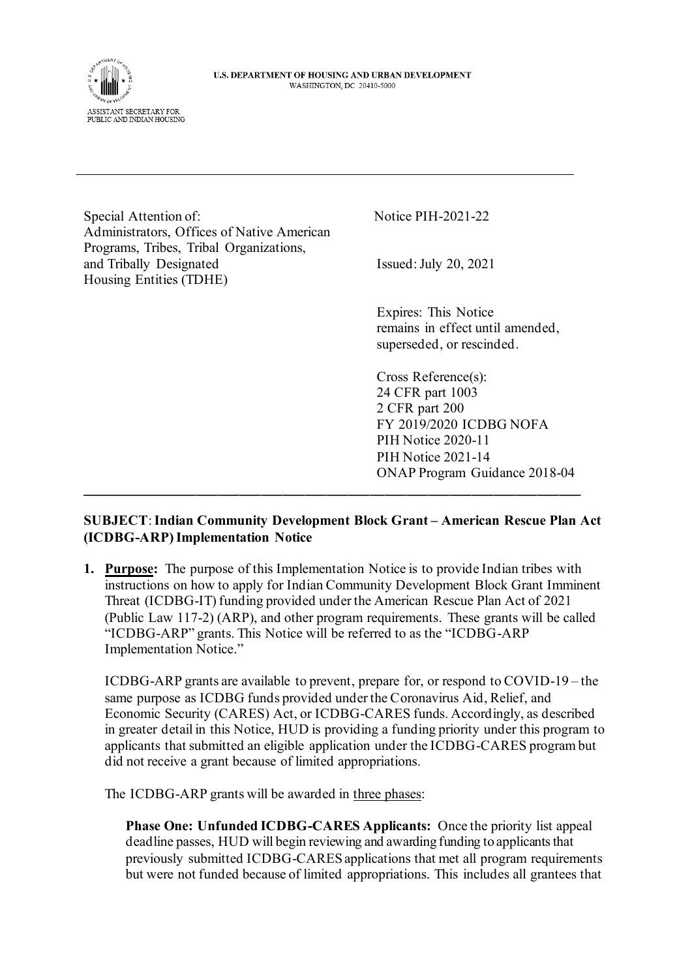

Special Attention of: Notice PIH-2021-22 Administrators, Offices of Native American Programs, Tribes, Tribal Organizations, and Tribally Designated Issued: July 20, 2021 Housing Entities (TDHE)

Expires: This Notice remains in effect until amended, superseded, or rescinded.

Cross Reference(s): 24 CFR part 1003 2 CFR part 200 FY 2019/2020 ICDBG NOFA PIH Notice 2020-11 PIH Notice 2021-14 ONAP Program Guidance 2018-04

## **SUBJECT**: **Indian Community Development Block Grant – American Rescue Plan Act (ICDBG-ARP)Implementation Notice**

 $\mathcal{L}_\mathcal{L} = \mathcal{L}_\mathcal{L} = \mathcal{L}_\mathcal{L} = \mathcal{L}_\mathcal{L} = \mathcal{L}_\mathcal{L} = \mathcal{L}_\mathcal{L} = \mathcal{L}_\mathcal{L} = \mathcal{L}_\mathcal{L} = \mathcal{L}_\mathcal{L} = \mathcal{L}_\mathcal{L} = \mathcal{L}_\mathcal{L} = \mathcal{L}_\mathcal{L} = \mathcal{L}_\mathcal{L} = \mathcal{L}_\mathcal{L} = \mathcal{L}_\mathcal{L} = \mathcal{L}_\mathcal{L} = \mathcal{L}_\mathcal{L}$ 

**1. Purpose:** The purpose of this Implementation Notice is to provide Indian tribes with instructions on how to apply for Indian Community Development Block Grant Imminent Threat (ICDBG-IT) funding provided under the American Rescue Plan Act of 2021 (Public Law 117-2) (ARP), and other program requirements. These grants will be called "ICDBG-ARP" grants. This Notice will be referred to as the "ICDBG-ARP Implementation Notice."

ICDBG-ARP grants are available to prevent, prepare for, or respond to COVID-19 – the same purpose as ICDBG funds provided under the Coronavirus Aid, Relief, and Economic Security (CARES) Act, or ICDBG-CARES funds. Accordingly, as described in greater detail in this Notice, HUD is providing a funding priority under this program to applicants that submitted an eligible application under the ICDBG-CARES program but did not receive a grant because of limited appropriations.

The ICDBG-ARP grants will be awarded in three phases:

**Phase One: Unfunded ICDBG-CARES Applicants:** Once the priority list appeal deadline passes, HUD will begin reviewing and awarding funding to applicants that previously submitted ICDBG-CARES applications that met all program requirements but were not funded because of limited appropriations. This includes all grantees that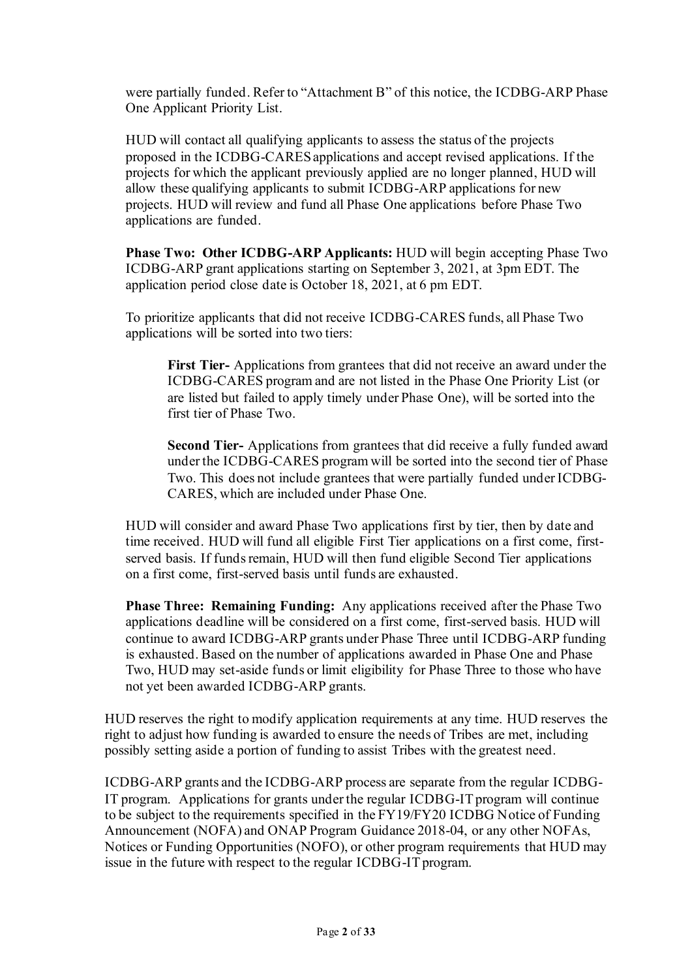were partially funded. Refer to "Attachment B" of this notice, the ICDBG-ARP Phase One Applicant Priority List.

HUD will contact all qualifying applicants to assess the status of the projects proposed in the ICDBG-CARES applications and accept revised applications. If the projects for which the applicant previously applied are no longer planned, HUD will allow these qualifying applicants to submit ICDBG-ARP applications for new projects. HUD will review and fund all Phase One applications before Phase Two applications are funded.

**Phase Two: Other ICDBG-ARP Applicants:** HUD will begin accepting Phase Two ICDBG-ARP grant applications starting on September 3, 2021, at 3pm EDT. The application period close date is October 18, 2021, at 6 pm EDT.

To prioritize applicants that did not receive ICDBG-CARES funds, all Phase Two applications will be sorted into two tiers:

**First Tier-** Applications from grantees that did not receive an award under the ICDBG-CARES program and are not listed in the Phase One Priority List (or are listed but failed to apply timely under Phase One), will be sorted into the first tier of Phase Two.

**Second Tier-** Applications from grantees that did receive a fully funded award under the ICDBG-CARES program will be sorted into the second tier of Phase Two. This does not include grantees that were partially funded under ICDBG-CARES, which are included under Phase One.

HUD will consider and award Phase Two applications first by tier, then by date and time received. HUD will fund all eligible First Tier applications on a first come, firstserved basis. If funds remain, HUD will then fund eligible Second Tier applications on a first come, first-served basis until funds are exhausted.

**Phase Three: Remaining Funding:** Any applications received after the Phase Two applications deadline will be considered on a first come, first-served basis. HUD will continue to award ICDBG-ARP grants under Phase Three until ICDBG-ARP funding is exhausted. Based on the number of applications awarded in Phase One and Phase Two, HUD may set-aside funds or limit eligibility for Phase Three to those who have not yet been awarded ICDBG-ARP grants.

HUD reserves the right to modify application requirements at any time. HUD reserves the right to adjust how funding is awarded to ensure the needs of Tribes are met, including possibly setting aside a portion of funding to assist Tribes with the greatest need.

ICDBG-ARP grants and the ICDBG-ARP process are separate from the regular ICDBG-IT program. Applications for grants under the regular ICDBG-IT program will continue to be subject to the requirements specified in the FY19/FY20 ICDBG Notice of Funding Announcement (NOFA) and ONAP Program Guidance 2018-04, or any other NOFAs, Notices or Funding Opportunities (NOFO), or other program requirements that HUD may issue in the future with respect to the regular ICDBG-IT program.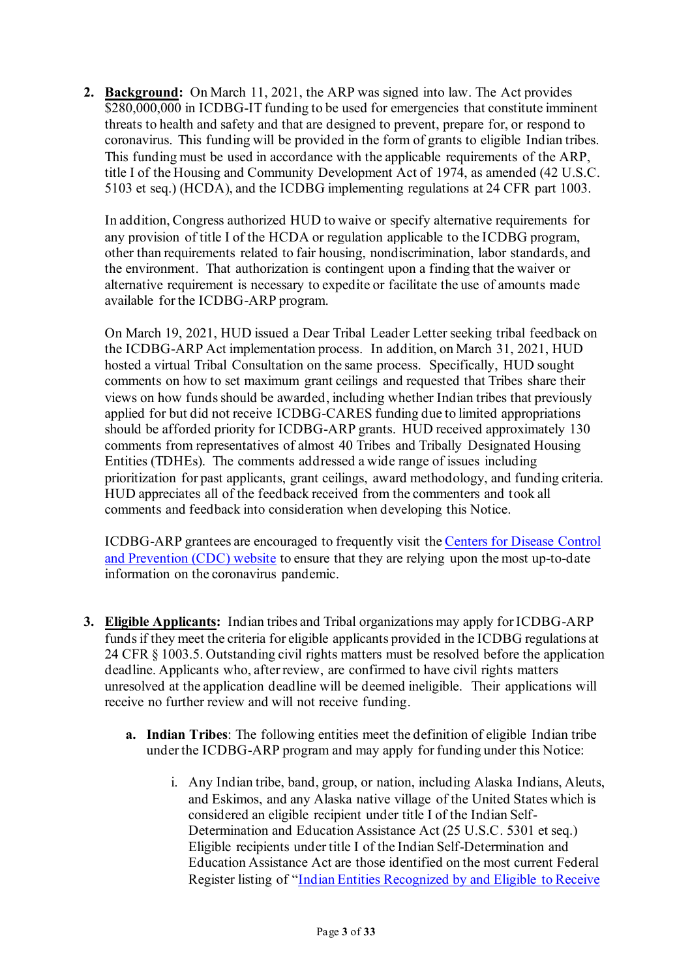**2. Background:** On March 11, 2021, the ARP was signed into law. The Act provides \$280,000,000 in ICDBG-IT funding to be used for emergencies that constitute imminent threats to health and safety and that are designed to prevent, prepare for, or respond to coronavirus. This funding will be provided in the form of grants to eligible Indian tribes. This funding must be used in accordance with the applicable requirements of the ARP, title I of the Housing and Community Development Act of 1974, as amended (42 U.S.C. 5103 et seq.) (HCDA), and the ICDBG implementing regulations at 24 CFR part 1003.

In addition, Congress authorized HUD to waive or specify alternative requirements for any provision of title I of the HCDA or regulation applicable to the ICDBG program, other than requirements related to fair housing, nondiscrimination, labor standards, and the environment. That authorization is contingent upon a finding that the waiver or alternative requirement is necessary to expedite or facilitate the use of amounts made available for the ICDBG-ARP program.

On March 19, 2021, HUD issued a Dear Tribal Leader Letter seeking tribal feedback on the ICDBG-ARP Act implementation process. In addition, on March 31, 2021, HUD hosted a virtual Tribal Consultation on the same process. Specifically, HUD sought comments on how to set maximum grant ceilings and requested that Tribes share their views on how funds should be awarded, including whether Indian tribes that previously applied for but did not receive ICDBG-CARES funding due to limited appropriations should be afforded priority for ICDBG-ARP grants. HUD received approximately 130 comments from representatives of almost 40 Tribes and Tribally Designated Housing Entities (TDHEs). The comments addressed a wide range of issues including prioritization for past applicants, grant ceilings, award methodology, and funding criteria. HUD appreciates all of the feedback received from the commenters and took all comments and feedback into consideration when developing this Notice.

ICDBG-ARP grantees are encouraged to frequently visit th[e Centers for Disease Control](http://www.cdc.gov/coronavirus/2019-ncov)  [and Prevention \(CDC\) website](http://www.cdc.gov/coronavirus/2019-ncov) to ensure that they are relying upon the most up-to-date information on the coronavirus pandemic.

- **3. Eligible Applicants:** Indian tribes and Tribal organizations may apply for ICDBG-ARP funds if they meet the criteria for eligible applicants provided in the ICDBG regulations at 24 CFR § 1003.5. Outstanding civil rights matters must be resolved before the application deadline. Applicants who, after review, are confirmed to have civil rights matters unresolved at the application deadline will be deemed ineligible. Their applications will receive no further review and will not receive funding.
	- **a. Indian Tribes**: The following entities meet the definition of eligible Indian tribe under the ICDBG-ARP program and may apply for funding under this Notice:
		- i. Any Indian tribe, band, group, or nation, including Alaska Indians, Aleuts, and Eskimos, and any Alaska native village of the United States which is considered an eligible recipient under title I of the Indian Self-Determination and Education Assistance Act (25 U.S.C. 5301 et seq.) Eligible recipients under title I of the Indian Self-Determination and Education Assistance Act are those identified on the most current Federal Register listing of "[Indian Entities Recognized by and Eligible to Receive](https://www.govinfo.gov/content/pkg/FR-2021-01-29/pdf/2021-01606.pdf)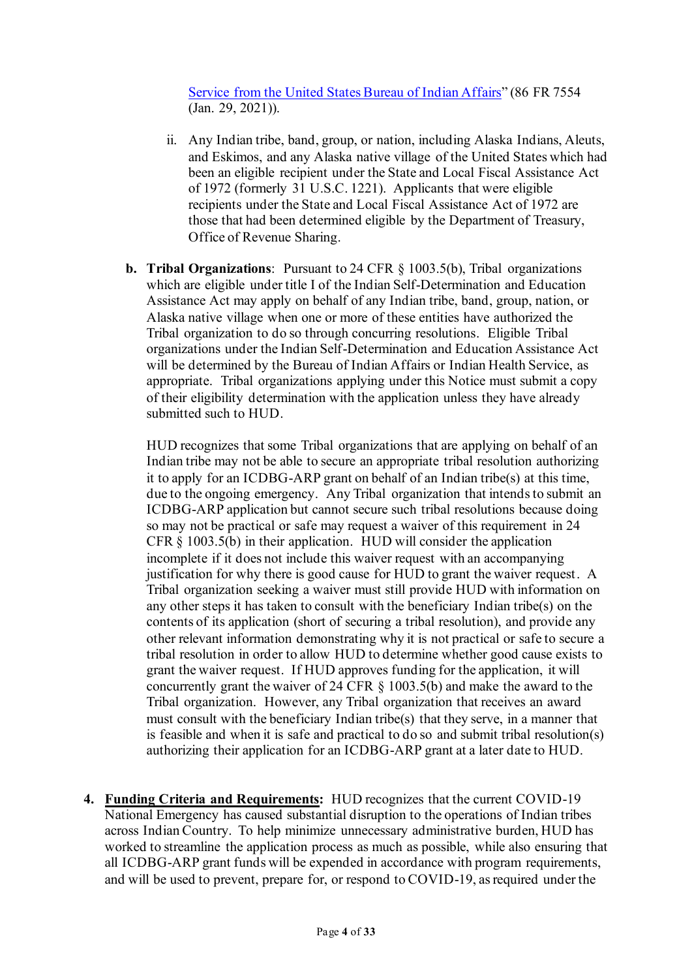[Service from the United States Bureau of Indian Affairs](https://www.govinfo.gov/content/pkg/FR-2021-01-29/pdf/2021-01606.pdf)" (86 FR 7554 (Jan. 29, 2021)).

- ii. Any Indian tribe, band, group, or nation, including Alaska Indians, Aleuts, and Eskimos, and any Alaska native village of the United States which had been an eligible recipient under the State and Local Fiscal Assistance Act of 1972 (formerly 31 U.S.C. 1221). Applicants that were eligible recipients under the State and Local Fiscal Assistance Act of 1972 are those that had been determined eligible by the Department of Treasury, Office of Revenue Sharing.
- **b. Tribal Organizations**: Pursuant to 24 CFR § 1003.5(b), Tribal organizations which are eligible under title I of the Indian Self-Determination and Education Assistance Act may apply on behalf of any Indian tribe, band, group, nation, or Alaska native village when one or more of these entities have authorized the Tribal organization to do so through concurring resolutions. Eligible Tribal organizations under the Indian Self-Determination and Education Assistance Act will be determined by the Bureau of Indian Affairs or Indian Health Service, as appropriate. Tribal organizations applying under this Notice must submit a copy of their eligibility determination with the application unless they have already submitted such to HUD.

HUD recognizes that some Tribal organizations that are applying on behalf of an Indian tribe may not be able to secure an appropriate tribal resolution authorizing it to apply for an ICDBG-ARP grant on behalf of an Indian tribe(s) at this time, due to the ongoing emergency. Any Tribal organization that intends to submit an ICDBG-ARP application but cannot secure such tribal resolutions because doing so may not be practical or safe may request a waiver of this requirement in 24 CFR § 1003.5(b) in their application. HUD will consider the application incomplete if it does not include this waiver request with an accompanying justification for why there is good cause for HUD to grant the waiver request. A Tribal organization seeking a waiver must still provide HUD with information on any other steps it has taken to consult with the beneficiary Indian tribe(s) on the contents of its application (short of securing a tribal resolution), and provide any other relevant information demonstrating why it is not practical or safe to secure a tribal resolution in order to allow HUD to determine whether good cause exists to grant the waiver request. If HUD approves funding for the application, it will concurrently grant the waiver of 24 CFR § 1003.5(b) and make the award to the Tribal organization. However, any Tribal organization that receives an award must consult with the beneficiary Indian tribe(s) that they serve, in a manner that is feasible and when it is safe and practical to do so and submit tribal resolution(s) authorizing their application for an ICDBG-ARP grant at a later date to HUD.

**4. Funding Criteria and Requirements:** HUD recognizes that the current COVID-19 National Emergency has caused substantial disruption to the operations of Indian tribes across Indian Country. To help minimize unnecessary administrative burden, HUD has worked to streamline the application process as much as possible, while also ensuring that all ICDBG-ARP grant funds will be expended in accordance with program requirements, and will be used to prevent, prepare for, or respond to COVID-19, as required under the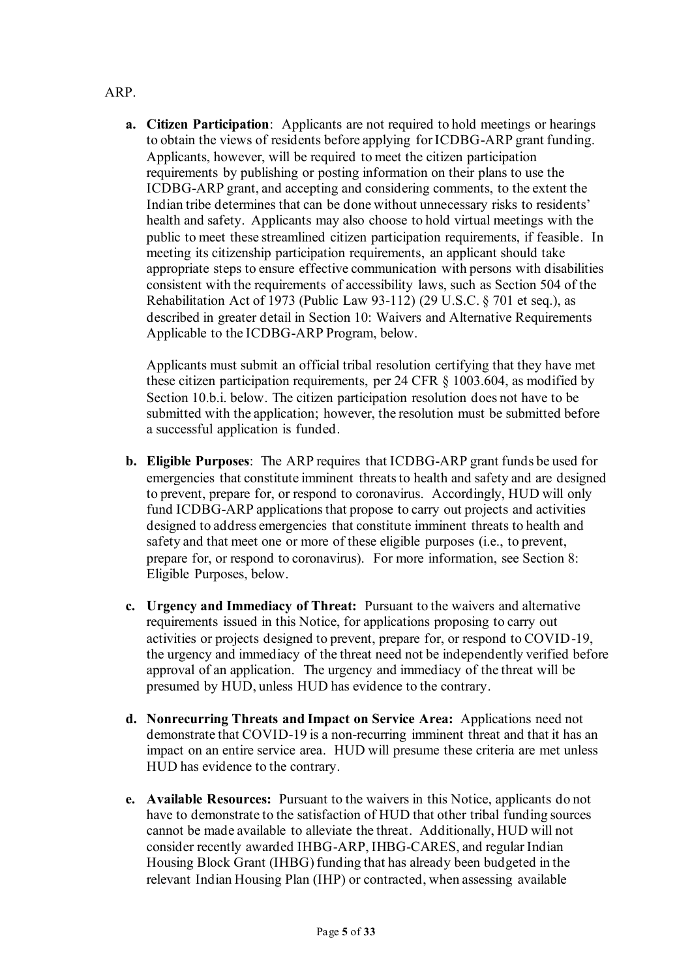## ARP.

**a. Citizen Participation**:Applicants are not required to hold meetings or hearings to obtain the views of residents before applying for ICDBG-ARP grant funding. Applicants, however, will be required to meet the citizen participation requirements by publishing or posting information on their plans to use the ICDBG-ARP grant, and accepting and considering comments, to the extent the Indian tribe determines that can be done without unnecessary risks to residents' health and safety. Applicants may also choose to hold virtual meetings with the public to meet these streamlined citizen participation requirements, if feasible. In meeting its citizenship participation requirements, an applicant should take appropriate steps to ensure effective communication with persons with disabilities consistent with the requirements of accessibility laws, such as Section 504 of the Rehabilitation Act of 1973 (Public Law 93-112) (29 U.S.C. § 701 et seq.), as described in greater detail in Section 10: Waivers and Alternative Requirements Applicable to the ICDBG-ARP Program, below.

Applicants must submit an official tribal resolution certifying that they have met these citizen participation requirements, per 24 CFR § 1003.604, as modified by Section 10.b.i. below. The citizen participation resolution does not have to be submitted with the application; however, the resolution must be submitted before a successful application is funded.

- **b. Eligible Purposes**: The ARP requires that ICDBG-ARP grant funds be used for emergencies that constitute imminent threats to health and safety and are designed to prevent, prepare for, or respond to coronavirus. Accordingly, HUD will only fund ICDBG-ARP applications that propose to carry out projects and activities designed to address emergencies that constitute imminent threats to health and safety and that meet one or more of these eligible purposes (i.e., to prevent, prepare for, or respond to coronavirus). For more information, see Section 8: Eligible Purposes, below.
- **c. Urgency and Immediacy of Threat:** Pursuant to the waivers and alternative requirements issued in this Notice, for applications proposing to carry out activities or projects designed to prevent, prepare for, or respond to COVID-19, the urgency and immediacy of the threat need not be independently verified before approval of an application. The urgency and immediacy of the threat will be presumed by HUD, unless HUD has evidence to the contrary.
- **d. Nonrecurring Threats and Impact on Service Area:** Applications need not demonstrate that COVID-19 is a non-recurring imminent threat and that it has an impact on an entire service area. HUD will presume these criteria are met unless HUD has evidence to the contrary.
- **e. Available Resources:** Pursuant to the waivers in this Notice, applicants do not have to demonstrate to the satisfaction of HUD that other tribal funding sources cannot be made available to alleviate the threat. Additionally, HUD will not consider recently awarded IHBG-ARP, IHBG-CARES, and regular Indian Housing Block Grant (IHBG) funding that has already been budgeted in the relevant Indian Housing Plan (IHP) or contracted, when assessing available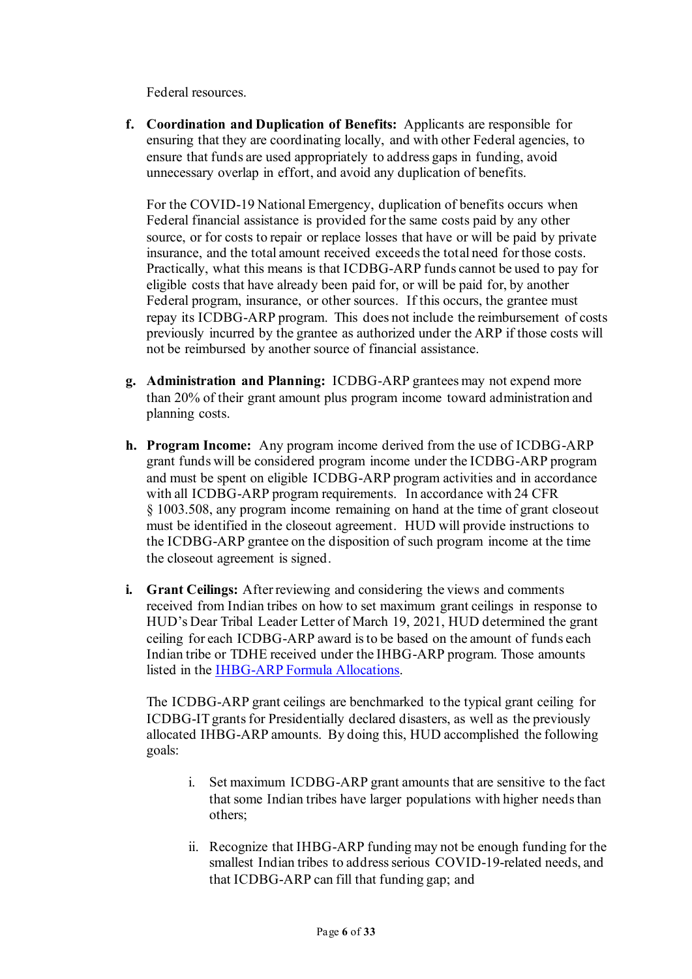Federal resources.

**f. Coordination and Duplication of Benefits:** Applicants are responsible for ensuring that they are coordinating locally, and with other Federal agencies, to ensure that funds are used appropriately to address gaps in funding, avoid unnecessary overlap in effort, and avoid any duplication of benefits.

For the COVID-19 National Emergency, duplication of benefits occurs when Federal financial assistance is provided for the same costs paid by any other source, or for costs to repair or replace losses that have or will be paid by private insurance, and the total amount received exceeds the total need for those costs. Practically, what this means is that ICDBG-ARP funds cannot be used to pay for eligible costs that have already been paid for, or will be paid for, by another Federal program, insurance, or other sources. If this occurs, the grantee must repay its ICDBG-ARP program. This does not include the reimbursement of costs previously incurred by the grantee as authorized under the ARP if those costs will not be reimbursed by another source of financial assistance.

- **g. Administration and Planning:** ICDBG-ARP grantees may not expend more than 20% of their grant amount plus program income toward administration and planning costs.
- **h. Program Income:** Any program income derived from the use of ICDBG-ARP grant funds will be considered program income under the ICDBG-ARP program and must be spent on eligible ICDBG-ARP program activities and in accordance with all ICDBG-ARP program requirements. In accordance with 24 CFR § 1003.508, any program income remaining on hand at the time of grant closeout must be identified in the closeout agreement. HUD will provide instructions to the ICDBG-ARP grantee on the disposition of such program income at the time the closeout agreement is signed.
- **i. Grant Ceilings:** After reviewing and considering the views and comments received from Indian tribes on how to set maximum grant ceilings in response to HUD's Dear Tribal Leader Letter of March 19, 2021, HUD determined the grant ceiling for each ICDBG-ARP award is to be based on the amount of funds each Indian tribe or TDHE received under the IHBG-ARP program. Those amounts listed in the IHBG-ARP [Formula Allocations.](https://www.hud.gov/sites/dfiles/PIH/%20documents/IHBG-ARP_for_Codetalk3.24.21.pdf)

The ICDBG-ARP grant ceilings are benchmarked to the typical grant ceiling for ICDBG-IT grants for Presidentially declared disasters, as well as the previously allocated IHBG-ARP amounts. By doing this, HUD accomplished the following goals:

- i. Set maximum ICDBG-ARP grant amounts that are sensitive to the fact that some Indian tribes have larger populations with higher needs than others;
- ii. Recognize that IHBG-ARP funding may not be enough funding for the smallest Indian tribes to address serious COVID-19-related needs, and that ICDBG-ARP can fill that funding gap; and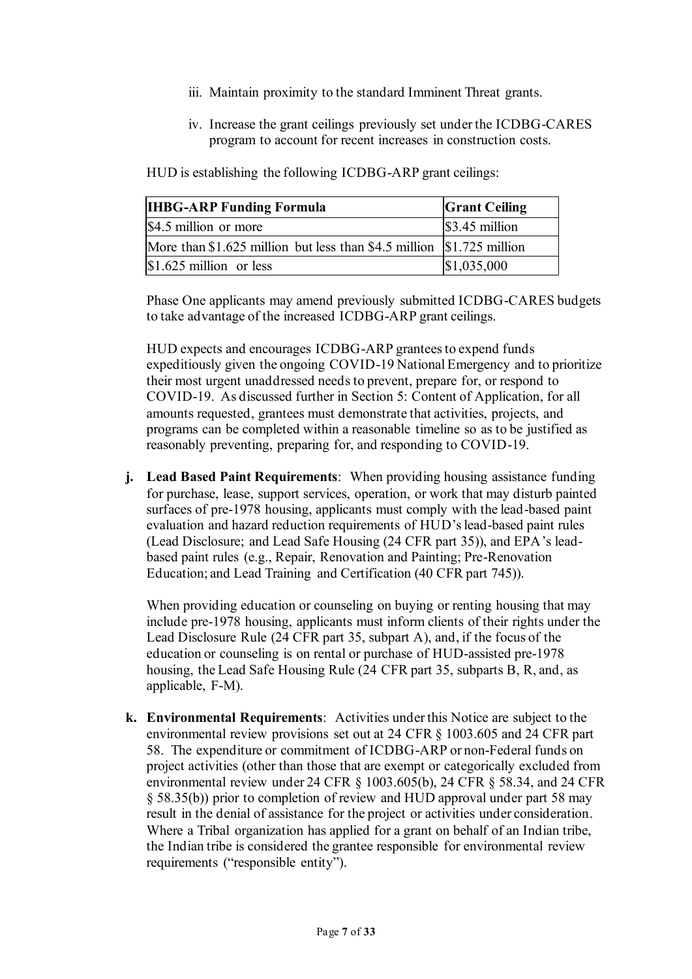- iii. Maintain proximity to the standard Imminent Threat grants.
- iv. Increase the grant ceilings previously set under the ICDBG-CARES program to account for recent increases in construction costs.

HUD is establishing the following ICDBG-ARP grant ceilings:

| <b>IHBG-ARP Funding Formula</b>                                          | <b>Grant Ceiling</b> |
|--------------------------------------------------------------------------|----------------------|
| \$4.5 million or more                                                    | $\$\,3.45$ million   |
| More than $$1.625$ million but less than $$4.5$ million $$1.725$ million |                      |
| $\vert$ \$1.625 million or less                                          | \$1,035,000          |

Phase One applicants may amend previously submitted ICDBG-CARES budgets to take advantage of the increased ICDBG-ARP grant ceilings.

HUD expects and encourages ICDBG-ARP grantees to expend funds expeditiously given the ongoing COVID-19 National Emergency and to prioritize their most urgent unaddressed needs to prevent, prepare for, or respond to COVID-19. As discussed further in Section 5: Content of Application, for all amounts requested, grantees must demonstrate that activities, projects, and programs can be completed within a reasonable timeline so as to be justified as reasonably preventing, preparing for, and responding to COVID-19.

**j. Lead Based Paint Requirements**: When providing housing assistance funding for purchase, lease, support services, operation, or work that may disturb painted surfaces of pre-1978 housing, applicants must comply with the lead-based paint evaluation and hazard reduction requirements of HUD'slead-based paint rules (Lead Disclosure; and Lead Safe Housing (24 CFR part 35)), and EPA's leadbased paint rules (e.g., Repair, Renovation and Painting; Pre-Renovation Education; and Lead Training and Certification (40 CFR part 745)).

When providing education or counseling on buying or renting housing that may include pre-1978 housing, applicants must inform clients of their rights under the Lead Disclosure Rule (24 CFR part 35, subpart A), and, if the focus of the education or counseling is on rental or purchase of HUD-assisted pre-1978 housing, the Lead Safe Housing Rule (24 CFR part 35, subparts B, R, and, as applicable, F-M).

**k. Environmental Requirements**: Activities under this Notice are subject to the environmental review provisions set out at 24 CFR § 1003.605 and 24 CFR part 58. The expenditure or commitment of ICDBG-ARP or non-Federal funds on project activities (other than those that are exempt or categorically excluded from environmental review under 24 CFR § 1003.605(b), 24 CFR § 58.34, and 24 CFR § 58.35(b)) prior to completion of review and HUD approval under part 58 may result in the denial of assistance for the project or activities under consideration. Where a Tribal organization has applied for a grant on behalf of an Indian tribe, the Indian tribe is considered the grantee responsible for environmental review requirements ("responsible entity").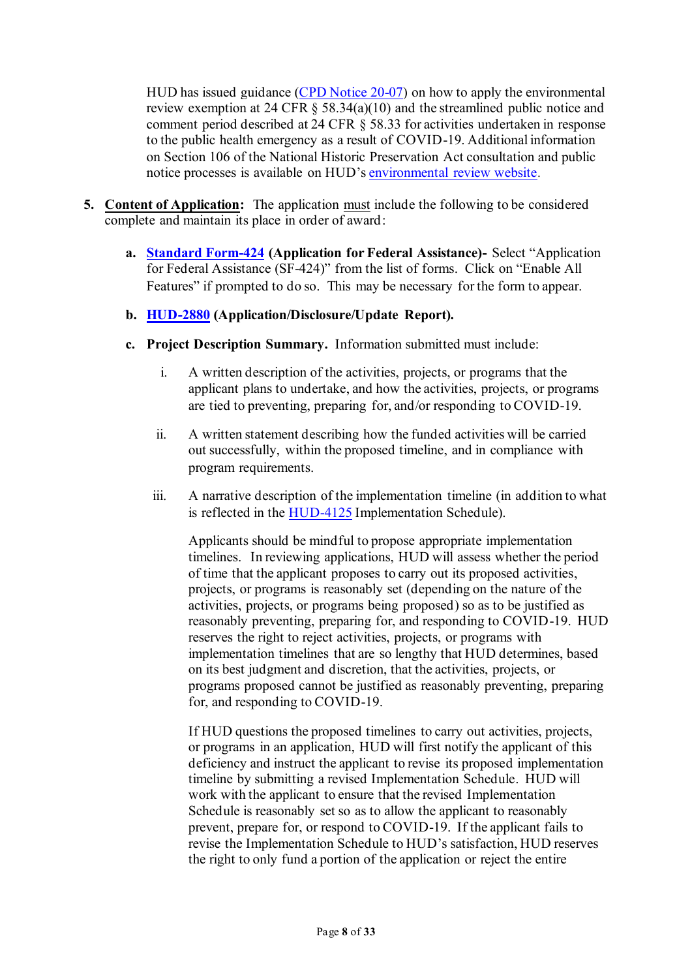HUD has issued guidance [\(CPD Notice 20-07\)](https://www.hudexchange.info/resource/6112/notice-cpd2007-guidance-on-conducting-environmental-review-pursuant-to-24-cfr-58-for-activities-undertaken-in-response-to-covid19/) on how to apply the environmental review exemption at 24 CFR § 58.34(a)(10) and the streamlined public notice and comment period described at 24 CFR § 58.33 for activities undertaken in response to the public health emergency as a result of COVID-19. Additional information on Section 106 of the National Historic Preservation Act consultation and public notice processes is available on HUD's [environmental review website.](https://www.hudexchange.info/programs/environmental-review/covid-19-guidance/)

- **5. Content of Application:** The application must include the following to be considered complete and maintain its place in order of award:
	- **a. [Standard Form-424](https://www.grants.gov/forms/sf-424-family.html) (Application for Federal Assistance)-** Select "Application for Federal Assistance (SF-424)" from the list of forms. Click on "Enable All Features" if prompted to do so. This may be necessary for the form to appear.
	- **b. [HUD-2880](https://www.hud.gov/sites/documents/2880.PDF) (Application/Disclosure/Update Report).**
	- **c. Project Description Summary.** Information submitted must include:
		- i. A written description of the activities, projects, or programs that the applicant plans to undertake, and how the activities, projects, or programs are tied to preventing, preparing for, and/or responding to COVID-19.
		- ii. A written statement describing how the funded activities will be carried out successfully, within the proposed timeline, and in compliance with program requirements.
		- iii. A narrative description of the implementation timeline (in addition to what is reflected in the [HUD-4125](https://www.hud.gov/sites/dfiles/OCHCO/documents/HUD-4125.pdf) Implementation Schedule).

Applicants should be mindful to propose appropriate implementation timelines. In reviewing applications, HUD will assess whether the period of time that the applicant proposes to carry out its proposed activities, projects, or programs is reasonably set (depending on the nature of the activities, projects, or programs being proposed) so as to be justified as reasonably preventing, preparing for, and responding to COVID-19. HUD reserves the right to reject activities, projects, or programs with implementation timelines that are so lengthy that HUD determines, based on its best judgment and discretion, that the activities, projects, or programs proposed cannot be justified as reasonably preventing, preparing for, and responding to COVID-19.

If HUD questions the proposed timelines to carry out activities, projects, or programs in an application, HUD will first notify the applicant of this deficiency and instruct the applicant to revise its proposed implementation timeline by submitting a revised Implementation Schedule. HUD will work with the applicant to ensure that the revised Implementation Schedule is reasonably set so as to allow the applicant to reasonably prevent, prepare for, or respond to COVID-19. If the applicant fails to revise the Implementation Schedule to HUD's satisfaction, HUD reserves the right to only fund a portion of the application or reject the entire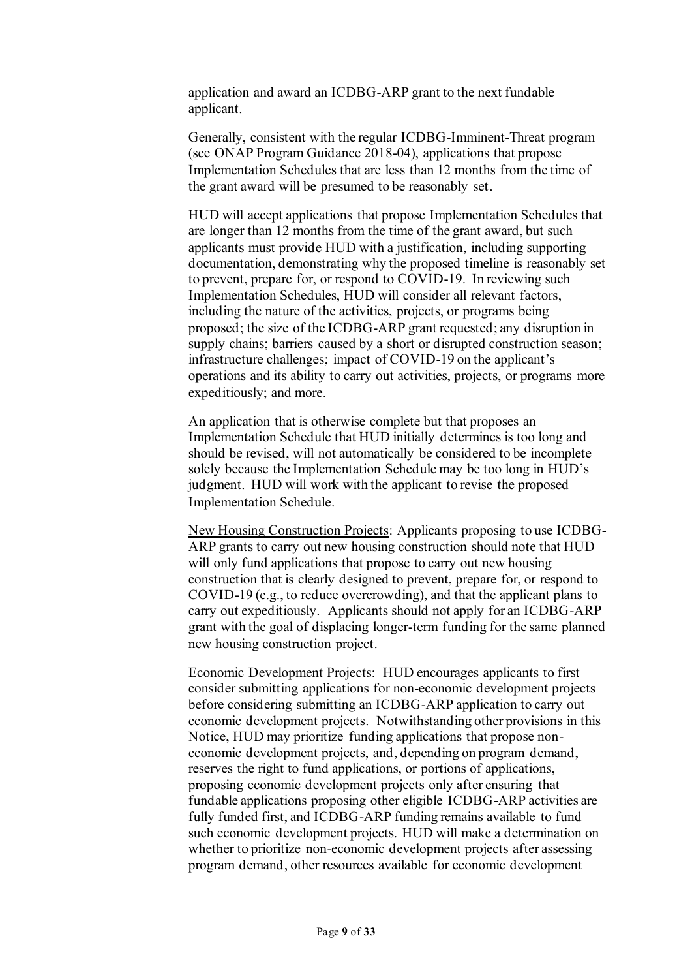application and award an ICDBG-ARP grant to the next fundable applicant.

Generally, consistent with the regular ICDBG-Imminent-Threat program (see ONAP Program Guidance 2018-04), applications that propose Implementation Schedules that are less than 12 months from the time of the grant award will be presumed to be reasonably set.

HUD will accept applications that propose Implementation Schedules that are longer than 12 months from the time of the grant award, but such applicants must provide HUD with a justification, including supporting documentation, demonstrating why the proposed timeline is reasonably set to prevent, prepare for, or respond to COVID-19. In reviewing such Implementation Schedules, HUD will consider all relevant factors, including the nature of the activities, projects, or programs being proposed; the size of the ICDBG-ARP grant requested; any disruption in supply chains; barriers caused by a short or disrupted construction season; infrastructure challenges; impact of COVID-19 on the applicant's operations and its ability to carry out activities, projects, or programs more expeditiously; and more.

An application that is otherwise complete but that proposes an Implementation Schedule that HUD initially determines is too long and should be revised, will not automatically be considered to be incomplete solely because the Implementation Schedule may be too long in HUD's judgment. HUD will work with the applicant to revise the proposed Implementation Schedule.

New Housing Construction Projects: Applicants proposing to use ICDBG-ARP grants to carry out new housing construction should note that HUD will only fund applications that propose to carry out new housing construction that is clearly designed to prevent, prepare for, or respond to COVID-19 (e.g., to reduce overcrowding), and that the applicant plans to carry out expeditiously. Applicants should not apply for an ICDBG-ARP grant with the goal of displacing longer-term funding for the same planned new housing construction project.

Economic Development Projects: HUD encourages applicants to first consider submitting applications for non-economic development projects before considering submitting an ICDBG-ARP application to carry out economic development projects. Notwithstanding other provisions in this Notice, HUD may prioritize funding applications that propose noneconomic development projects, and, depending on program demand, reserves the right to fund applications, or portions of applications, proposing economic development projects only after ensuring that fundable applications proposing other eligible ICDBG-ARP activities are fully funded first, and ICDBG-ARP funding remains available to fund such economic development projects. HUD will make a determination on whether to prioritize non-economic development projects after assessing program demand, other resources available for economic development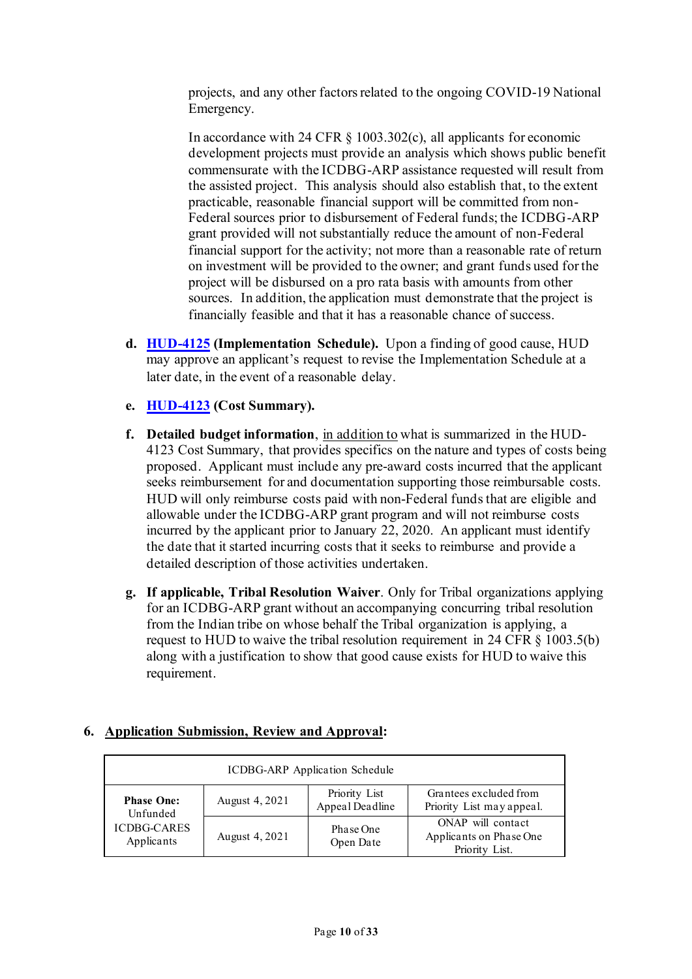projects, and any other factors related to the ongoing COVID-19 National Emergency.

In accordance with 24 CFR § 1003.302(c), all applicants for economic development projects must provide an analysis which shows public benefit commensurate with the ICDBG-ARP assistance requested will result from the assisted project. This analysis should also establish that, to the extent practicable, reasonable financial support will be committed from non-Federal sources prior to disbursement of Federal funds; the ICDBG-ARP grant provided will not substantially reduce the amount of non-Federal financial support for the activity; not more than a reasonable rate of return on investment will be provided to the owner; and grant funds used for the project will be disbursed on a pro rata basis with amounts from other sources. In addition, the application must demonstrate that the project is financially feasible and that it has a reasonable chance of success.

- **d. [HUD-4125](https://www.hud.gov/sites/dfiles/OCHCO/documents/HUD-4125.pdf) (Implementation Schedule).** Upon a finding of good cause, HUD may approve an applicant's request to revise the Implementation Schedule at a later date, in the event of a reasonable delay.
- **e. [HUD-4123](https://www.hud.gov/sites/dfiles/OCHCO/documents/HUD-4123.pdf) (Cost Summary).**
- **f. Detailed budget information**, in addition to what is summarized in the HUD-4123 Cost Summary, that provides specifics on the nature and types of costs being proposed. Applicant must include any pre-award costs incurred that the applicant seeks reimbursement for and documentation supporting those reimbursable costs. HUD will only reimburse costs paid with non-Federal funds that are eligible and allowable under the ICDBG-ARP grant program and will not reimburse costs incurred by the applicant prior to January 22, 2020. An applicant must identify the date that it started incurring costs that it seeks to reimburse and provide a detailed description of those activities undertaken.
- **g. If applicable, Tribal Resolution Waiver**. Only for Tribal organizations applying for an ICDBG-ARP grant without an accompanying concurring tribal resolution from the Indian tribe on whose behalf the Tribal organization is applying, a request to HUD to waive the tribal resolution requirement in 24 CFR § 1003.5(b) along with a justification to show that good cause exists for HUD to waive this requirement.

## **6. Application Submission, Review and Approval:**

| ICDBG-ARP Application Schedule   |                |                                  |                                                                |  |
|----------------------------------|----------------|----------------------------------|----------------------------------------------------------------|--|
| <b>Phase One:</b><br>Unfunded    | August 4, 2021 | Priority List<br>Appeal Deadline | Grantees excluded from<br>Priority List may appeal.            |  |
| <b>ICDBG-CARES</b><br>Applicants | August 4, 2021 | Phase One<br>Open Date           | ONAP will contact<br>Applicants on Phase One<br>Priority List. |  |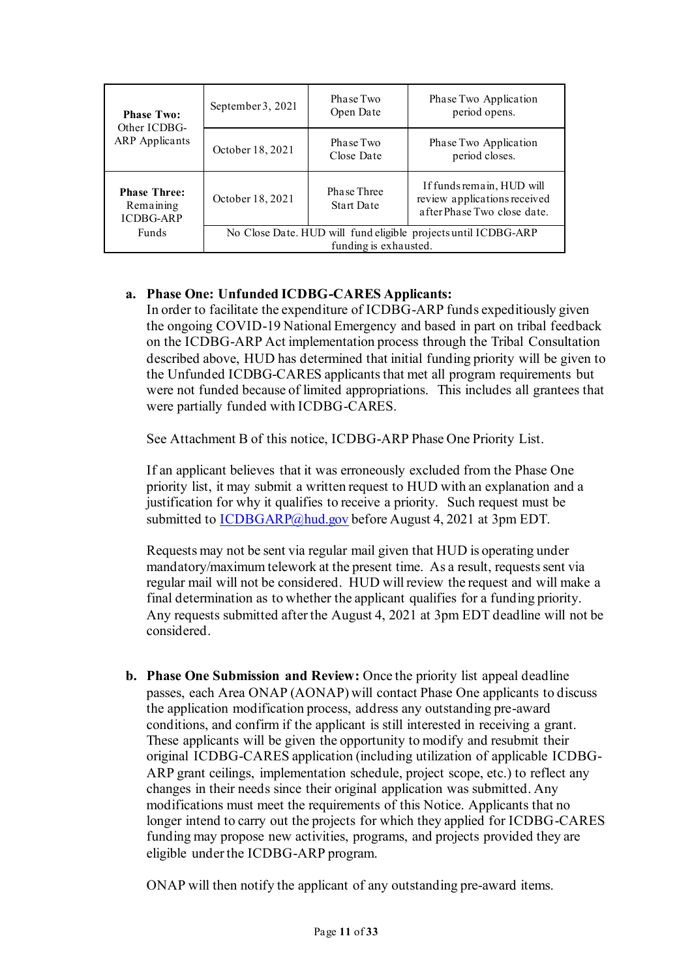| <b>Phase Two:</b><br>Other ICDBG-<br><b>ARP</b> Applicants | September 3, 2021                                                                       | Phase Two<br>Open Date           | Phase Two Application<br>period opens.                                                   |
|------------------------------------------------------------|-----------------------------------------------------------------------------------------|----------------------------------|------------------------------------------------------------------------------------------|
|                                                            | October 18, 2021                                                                        | Phase Two<br>Close Date          | Phase Two Application<br>period closes.                                                  |
| <b>Phase Three:</b><br>Remaining<br><b>ICDBG-ARP</b>       | October 18, 2021                                                                        | Phase Three<br><b>Start Date</b> | If funds remain, HUD will<br>review applications received<br>after Phase Two close date. |
| <b>Funds</b>                                               | No Close Date. HUD will fund eligible projects until ICDBG-ARP<br>funding is exhausted. |                                  |                                                                                          |

# **a. Phase One: Unfunded ICDBG-CARES Applicants:**

In order to facilitate the expenditure of ICDBG-ARP funds expeditiously given the ongoing COVID-19 National Emergency and based in part on tribal feedback on the ICDBG-ARP Act implementation process through the Tribal Consultation described above, HUD has determined that initial funding priority will be given to the Unfunded ICDBG-CARES applicants that met all program requirements but were not funded because of limited appropriations. This includes all grantees that were partially funded with ICDBG-CARES.

See Attachment B of this notice, ICDBG-ARP Phase One Priority List.

If an applicant believes that it was erroneously excluded from the Phase One priority list, it may submit a written request to HUD with an explanation and a justification for why it qualifies to receive a priority. Such request must be submitted t[o ICDBGARP@hud.gov](mailto:ICDBGARP@hud.gov) before August 4, 2021 at 3pm EDT.

Requests may not be sent via regular mail given that HUD is operating under mandatory/maximum telework at the present time. As a result, requests sent via regular mail will not be considered. HUD will review the request and will make a final determination as to whether the applicant qualifies for a funding priority. Any requests submitted after the August 4, 2021 at 3pm EDT deadline will not be considered.

**b. Phase One Submission and Review:** Once the priority list appeal deadline passes, each Area ONAP (AONAP) will contact Phase One applicants to discuss the application modification process, address any outstanding pre-award conditions, and confirm if the applicant is still interested in receiving a grant. These applicants will be given the opportunity to modify and resubmit their original ICDBG-CARES application (including utilization of applicable ICDBG-ARP grant ceilings, implementation schedule, project scope, etc.) to reflect any changes in their needs since their original application was submitted. Any modifications must meet the requirements of this Notice. Applicants that no longer intend to carry out the projects for which they applied for ICDBG-CARES funding may propose new activities, programs, and projects provided they are eligible under the ICDBG-ARP program.

ONAP will then notify the applicant of any outstanding pre-award items.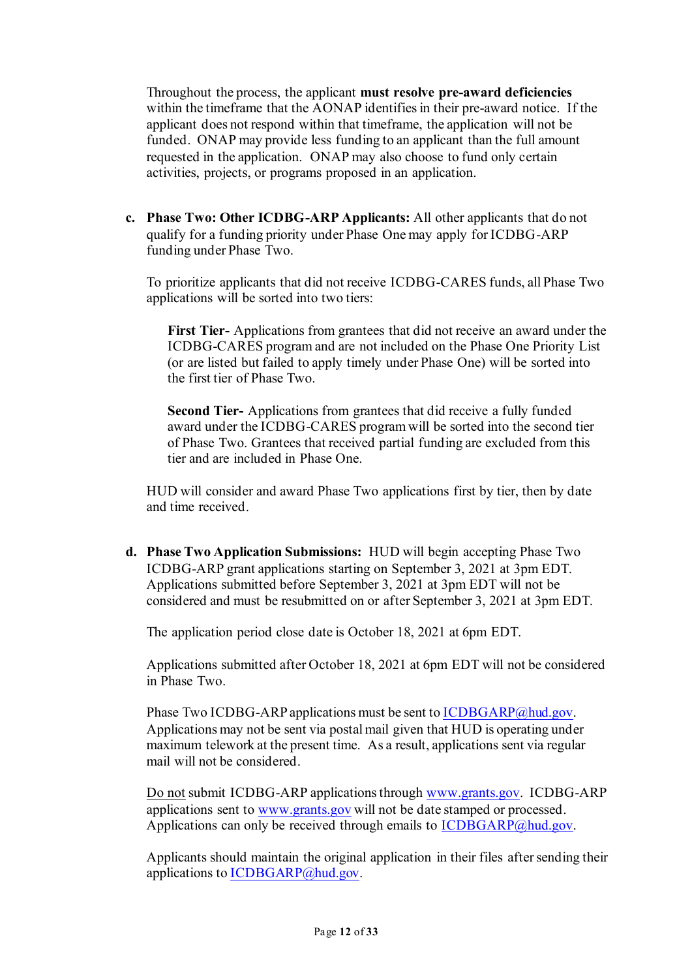Throughout the process, the applicant **must resolve pre-award deficiencies**  within the timeframe that the AONAP identifies in their pre-award notice. If the applicant does not respond within that timeframe, the application will not be funded. ONAP may provide less funding to an applicant than the full amount requested in the application. ONAP may also choose to fund only certain activities, projects, or programs proposed in an application.

**c. Phase Two: Other ICDBG-ARP Applicants:** All other applicants that do not qualify for a funding priority under Phase One may apply for ICDBG-ARP funding under Phase Two.

To prioritize applicants that did not receive ICDBG-CARES funds, all Phase Two applications will be sorted into two tiers:

**First Tier-** Applications from grantees that did not receive an award under the ICDBG-CARES program and are not included on the Phase One Priority List (or are listed but failed to apply timely under Phase One) will be sorted into the first tier of Phase Two.

**Second Tier-** Applications from grantees that did receive a fully funded award under the ICDBG-CARES program will be sorted into the second tier of Phase Two. Grantees that received partial funding are excluded from this tier and are included in Phase One.

HUD will consider and award Phase Two applications first by tier, then by date and time received.

**d. Phase Two Application Submissions:** HUD will begin accepting Phase Two ICDBG-ARP grant applications starting on September 3, 2021 at 3pm EDT. Applications submitted before September 3, 2021 at 3pm EDT will not be considered and must be resubmitted on or after September 3, 2021 at 3pm EDT.

The application period close date is October 18, 2021 at 6pm EDT.

Applications submitted after October 18, 2021 at 6pm EDT will not be considered in Phase Two.

Phase Two ICDBG-ARP applications must be sent to **ICDBGARP**@hud.gov. Applications may not be sent via postal mail given that HUD is operating under maximum telework at the present time. As a result, applications sent via regular mail will not be considered.

Do not submit ICDBG-ARP applications through [www.grants.gov.](http://www.grants.gov/) ICDBG-ARP applications sent t[o www.grants.gov](http://www.grants.gov/) will not be date stamped or processed. Applications can only be received through emails to [ICDBGARP@hud.gov](mailto:ICDBGARP@hud.gov).

Applicants should maintain the original application in their files after sending their applications t[o ICDBGARP@hud.gov](mailto:ICDBGARP@hud.gov).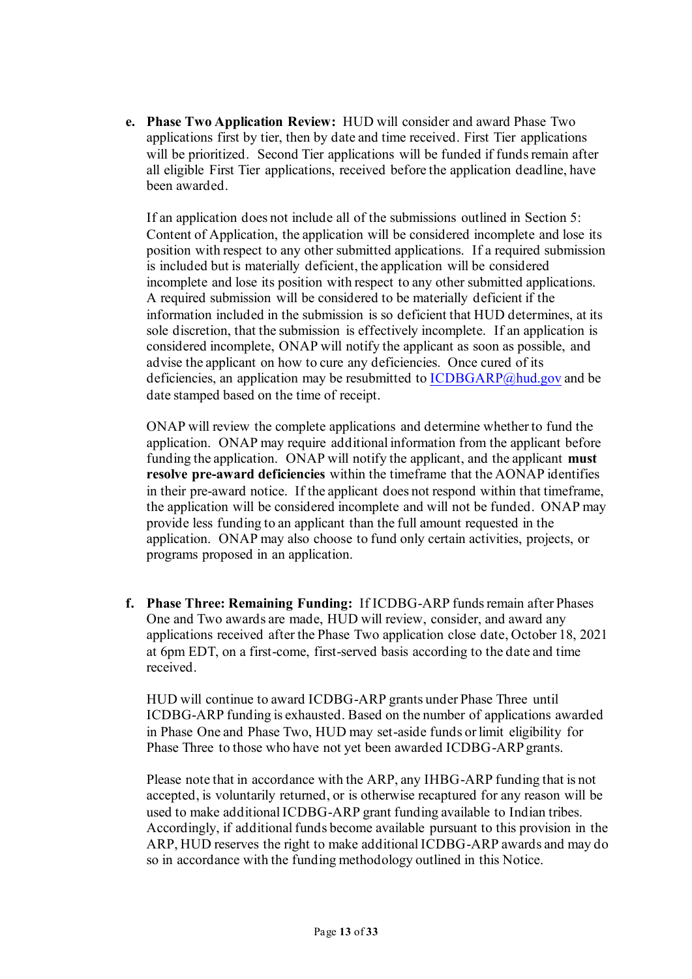**e. Phase Two Application Review:** HUD will consider and award Phase Two applications first by tier, then by date and time received. First Tier applications will be prioritized. Second Tier applications will be funded if funds remain after all eligible First Tier applications, received before the application deadline, have been awarded.

If an application does not include all of the submissions outlined in Section 5: Content of Application, the application will be considered incomplete and lose its position with respect to any other submitted applications. If a required submission is included but is materially deficient, the application will be considered incomplete and lose its position with respect to any other submitted applications. A required submission will be considered to be materially deficient if the information included in the submission is so deficient that HUD determines, at its sole discretion, that the submission is effectively incomplete. If an application is considered incomplete, ONAP will notify the applicant as soon as possible, and advise the applicant on how to cure any deficiencies. Once cured of its deficiencies, an application may be resubmitted to [ICDBGARP@hud.gov](mailto:ICDBGARP@hud.gov) and be date stamped based on the time of receipt.

ONAP will review the complete applications and determine whether to fund the application. ONAP may require additional information from the applicant before funding the application. ONAP will notify the applicant, and the applicant **must resolve pre-award deficiencies** within the timeframe that the AONAP identifies in their pre-award notice. If the applicant does not respond within that timeframe, the application will be considered incomplete and will not be funded. ONAP may provide less funding to an applicant than the full amount requested in the application. ONAP may also choose to fund only certain activities, projects, or programs proposed in an application.

**f. Phase Three: Remaining Funding:** If ICDBG-ARP funds remain after Phases One and Two awards are made, HUD will review, consider, and award any applications received after the Phase Two application close date, October 18, 2021 at 6pm EDT, on a first-come, first-served basis according to the date and time received.

HUD will continue to award ICDBG-ARP grants under Phase Three until ICDBG-ARP funding is exhausted. Based on the number of applications awarded in Phase One and Phase Two, HUD may set-aside funds or limit eligibility for Phase Three to those who have not yet been awarded ICDBG-ARP grants.

Please note that in accordance with the ARP, any IHBG-ARP funding that is not accepted, is voluntarily returned, or is otherwise recaptured for any reason will be used to make additional ICDBG-ARP grant funding available to Indian tribes. Accordingly, if additional funds become available pursuant to this provision in the ARP, HUD reserves the right to make additional ICDBG-ARP awards and may do so in accordance with the funding methodology outlined in this Notice.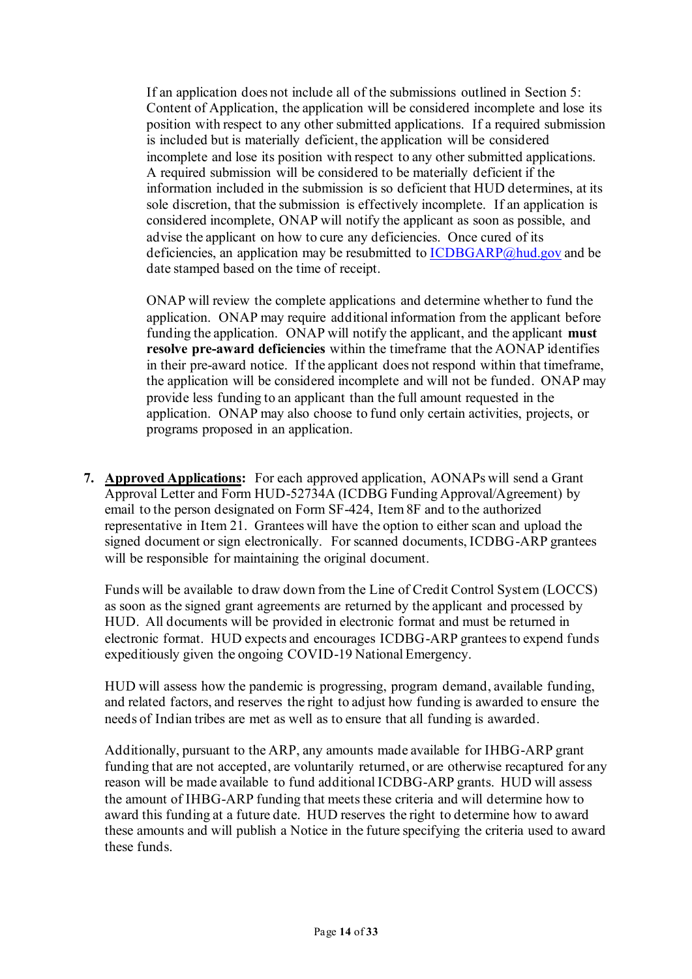If an application does not include all of the submissions outlined in Section 5: Content of Application, the application will be considered incomplete and lose its position with respect to any other submitted applications. If a required submission is included but is materially deficient, the application will be considered incomplete and lose its position with respect to any other submitted applications. A required submission will be considered to be materially deficient if the information included in the submission is so deficient that HUD determines, at its sole discretion, that the submission is effectively incomplete. If an application is considered incomplete, ONAP will notify the applicant as soon as possible, and advise the applicant on how to cure any deficiencies. Once cured of its deficiencies, an application may be resubmitted to [ICDBGARP@hud.gov](mailto:ICDBGARP@hud.gov) and be date stamped based on the time of receipt.

ONAP will review the complete applications and determine whether to fund the application. ONAP may require additional information from the applicant before funding the application. ONAP will notify the applicant, and the applicant **must resolve pre-award deficiencies** within the timeframe that the AONAP identifies in their pre-award notice. If the applicant does not respond within that timeframe, the application will be considered incomplete and will not be funded. ONAP may provide less funding to an applicant than the full amount requested in the application. ONAP may also choose to fund only certain activities, projects, or programs proposed in an application.

**7. Approved Applications:** For each approved application, AONAPs will send a Grant Approval Letter and Form HUD-52734A (ICDBG Funding Approval/Agreement) by email to the person designated on Form SF-424, Item 8F and to the authorized representative in Item 21. Grantees will have the option to either scan and upload the signed document or sign electronically. For scanned documents, ICDBG-ARP grantees will be responsible for maintaining the original document.

Funds will be available to draw down from the Line of Credit Control System (LOCCS) as soon as the signed grant agreements are returned by the applicant and processed by HUD. All documents will be provided in electronic format and must be returned in electronic format. HUD expects and encourages ICDBG-ARP grantees to expend funds expeditiously given the ongoing COVID-19 National Emergency.

HUD will assess how the pandemic is progressing, program demand, available funding, and related factors, and reserves the right to adjust how funding is awarded to ensure the needs of Indian tribes are met as well as to ensure that all funding is awarded.

Additionally, pursuant to the ARP, any amounts made available for IHBG-ARP grant funding that are not accepted, are voluntarily returned, or are otherwise recaptured for any reason will be made available to fund additional ICDBG-ARP grants. HUD will assess the amount of IHBG-ARP funding that meets these criteria and will determine how to award this funding at a future date. HUD reserves the right to determine how to award these amounts and will publish a Notice in the future specifying the criteria used to award these funds.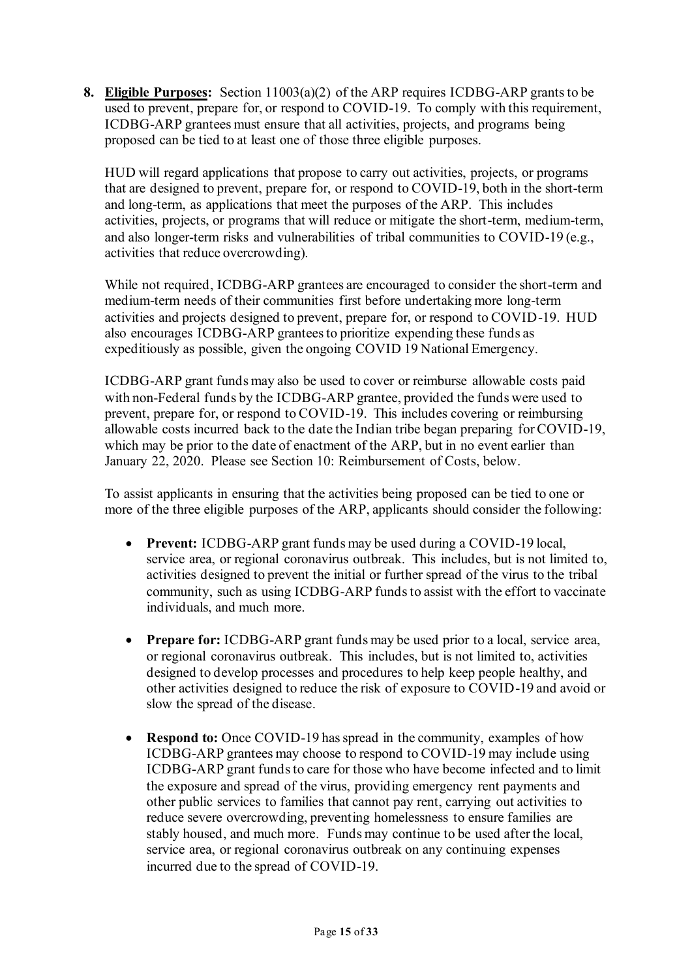**8. Eligible Purposes:** Section 11003(a)(2) of the ARP requires ICDBG-ARP grants to be used to prevent, prepare for, or respond to COVID-19. To comply with this requirement, ICDBG-ARP grantees must ensure that all activities, projects, and programs being proposed can be tied to at least one of those three eligible purposes.

HUD will regard applications that propose to carry out activities, projects, or programs that are designed to prevent, prepare for, or respond to COVID-19, both in the short-term and long-term, as applications that meet the purposes of the ARP. This includes activities, projects, or programs that will reduce or mitigate the short-term, medium-term, and also longer-term risks and vulnerabilities of tribal communities to COVID-19 (e.g., activities that reduce overcrowding).

While not required, ICDBG-ARP grantees are encouraged to consider the short-term and medium-term needs of their communities first before undertaking more long-term activities and projects designed to prevent, prepare for, or respond to COVID-19. HUD also encourages ICDBG-ARP grantees to prioritize expending these funds as expeditiously as possible, given the ongoing COVID 19 National Emergency.

ICDBG-ARP grant funds may also be used to cover or reimburse allowable costs paid with non-Federal funds by the ICDBG-ARP grantee, provided the funds were used to prevent, prepare for, or respond to COVID-19. This includes covering or reimbursing allowable costs incurred back to the date the Indian tribe began preparing for COVID-19, which may be prior to the date of enactment of the ARP, but in no event earlier than January 22, 2020. Please see Section 10: Reimbursement of Costs, below.

To assist applicants in ensuring that the activities being proposed can be tied to one or more of the three eligible purposes of the ARP, applicants should consider the following:

- **Prevent:** ICDBG-ARP grant funds may be used during a COVID-19 local, service area, or regional coronavirus outbreak. This includes, but is not limited to, activities designed to prevent the initial or further spread of the virus to the tribal community, such as using ICDBG-ARP funds to assist with the effort to vaccinate individuals, and much more.
- **Prepare for:** ICDBG-ARP grant funds may be used prior to a local, service area, or regional coronavirus outbreak. This includes, but is not limited to, activities designed to develop processes and procedures to help keep people healthy, and other activities designed to reduce the risk of exposure to COVID-19 and avoid or slow the spread of the disease.
- **Respond to:** Once COVID-19 has spread in the community, examples of how ICDBG-ARP grantees may choose to respond to COVID-19 may include using ICDBG-ARP grant funds to care for those who have become infected and to limit the exposure and spread of the virus, providing emergency rent payments and other public services to families that cannot pay rent, carrying out activities to reduce severe overcrowding, preventing homelessness to ensure families are stably housed, and much more. Funds may continue to be used after the local, service area, or regional coronavirus outbreak on any continuing expenses incurred due to the spread of COVID-19.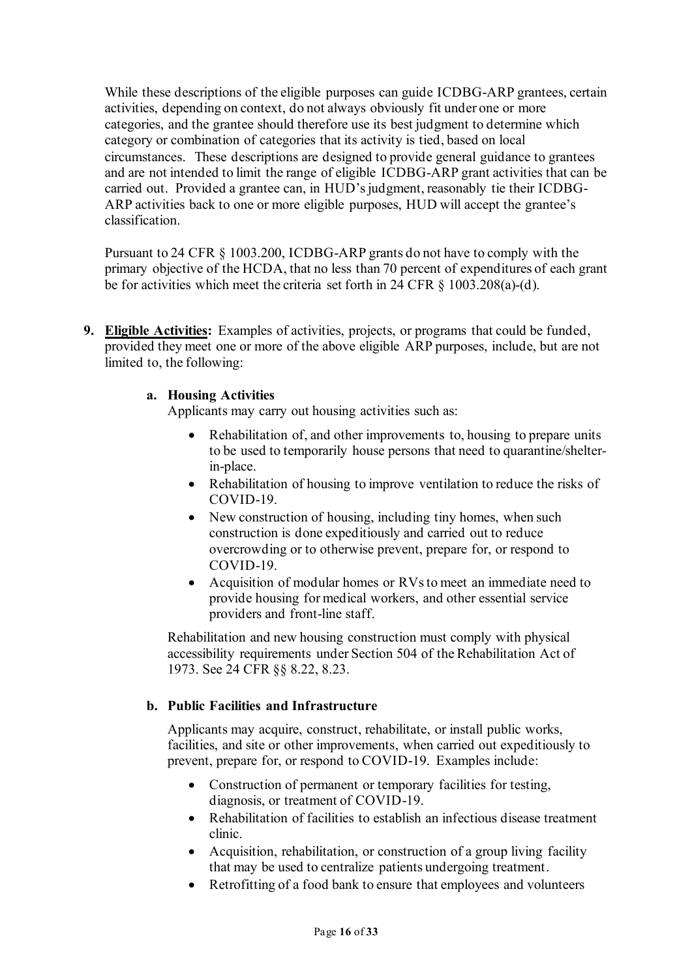While these descriptions of the eligible purposes can guide ICDBG-ARP grantees, certain activities, depending on context, do not always obviously fit under one or more categories, and the grantee should therefore use its best judgment to determine which category or combination of categories that its activity is tied, based on local circumstances. These descriptions are designed to provide general guidance to grantees and are not intended to limit the range of eligible ICDBG-ARP grant activities that can be carried out. Provided a grantee can, in HUD's judgment, reasonably tie their ICDBG-ARP activities back to one or more eligible purposes, HUD will accept the grantee's classification.

Pursuant to 24 CFR § 1003.200, ICDBG-ARP grants do not have to comply with the primary objective of the HCDA, that no less than 70 percent of expenditures of each grant be for activities which meet the criteria set forth in 24 CFR § 1003.208(a)-(d).

**9. Eligible Activities:** Examples of activities, projects, or programs that could be funded, provided they meet one or more of the above eligible ARP purposes, include, but are not limited to, the following:

### **a. Housing Activities**

Applicants may carry out housing activities such as:

- Rehabilitation of, and other improvements to, housing to prepare units to be used to temporarily house persons that need to quarantine/shelterin-place.
- Rehabilitation of housing to improve ventilation to reduce the risks of COVID-19.
- New construction of housing, including tiny homes, when such construction is done expeditiously and carried out to reduce overcrowding or to otherwise prevent, prepare for, or respond to COVID-19.
- Acquisition of modular homes or RVs to meet an immediate need to provide housing for medical workers, and other essential service providers and front-line staff.

Rehabilitation and new housing construction must comply with physical accessibility requirements under Section 504 of the Rehabilitation Act of 1973. See 24 CFR §§ 8.22, 8.23.

#### **b. Public Facilities and Infrastructure**

Applicants may acquire, construct, rehabilitate, or install public works, facilities, and site or other improvements, when carried out expeditiously to prevent, prepare for, or respond to COVID-19. Examples include:

- Construction of permanent or temporary facilities for testing, diagnosis, or treatment of COVID-19.
- Rehabilitation of facilities to establish an infectious disease treatment clinic.
- Acquisition, rehabilitation, or construction of a group living facility that may be used to centralize patients undergoing treatment.
- Retrofitting of a food bank to ensure that employees and volunteers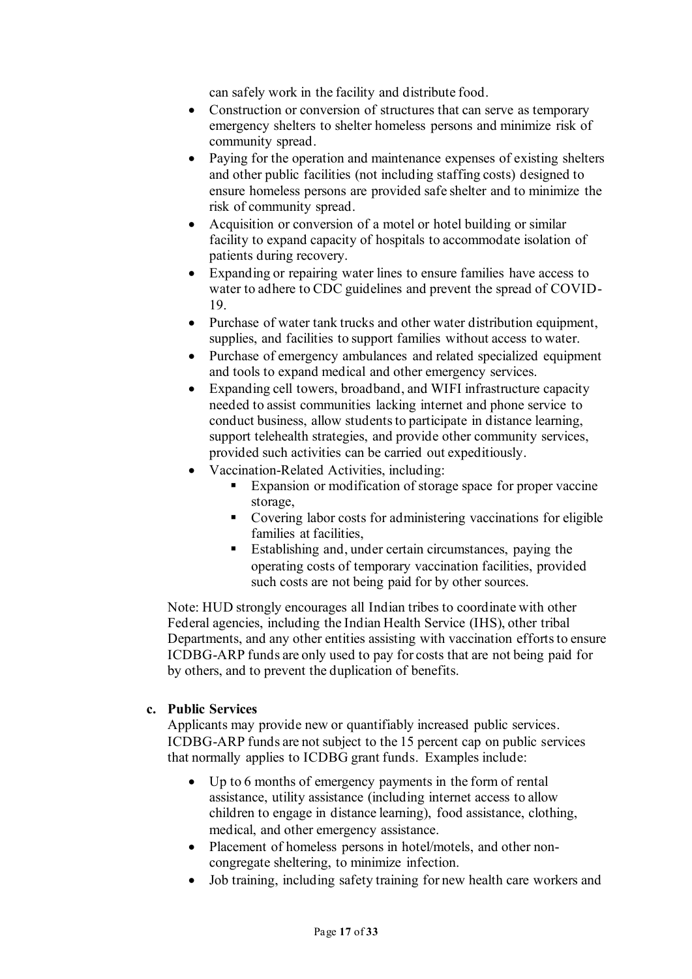can safely work in the facility and distribute food.

- Construction or conversion of structures that can serve as temporary emergency shelters to shelter homeless persons and minimize risk of community spread.
- Paying for the operation and maintenance expenses of existing shelters and other public facilities (not including staffing costs) designed to ensure homeless persons are provided safe shelter and to minimize the risk of community spread.
- Acquisition or conversion of a motel or hotel building or similar facility to expand capacity of hospitals to accommodate isolation of patients during recovery.
- Expanding or repairing water lines to ensure families have access to water to adhere to CDC guidelines and prevent the spread of COVID-19.
- Purchase of water tank trucks and other water distribution equipment, supplies, and facilities to support families without access to water.
- Purchase of emergency ambulances and related specialized equipment and tools to expand medical and other emergency services.
- Expanding cell towers, broadband, and WIFI infrastructure capacity needed to assist communities lacking internet and phone service to conduct business, allow students to participate in distance learning, support telehealth strategies, and provide other community services, provided such activities can be carried out expeditiously.
- Vaccination-Related Activities, including:
	- Expansion or modification of storage space for proper vaccine storage,
	- Covering labor costs for administering vaccinations for eligible families at facilities,
	- Establishing and, under certain circumstances, paying the operating costs of temporary vaccination facilities, provided such costs are not being paid for by other sources.

Note: HUD strongly encourages all Indian tribes to coordinate with other Federal agencies, including the Indian Health Service (IHS), other tribal Departments, and any other entities assisting with vaccination efforts to ensure ICDBG-ARP funds are only used to pay for costs that are not being paid for by others, and to prevent the duplication of benefits.

#### **c. Public Services**

Applicants may provide new or quantifiably increased public services. ICDBG-ARP funds are not subject to the 15 percent cap on public services that normally applies to ICDBG grant funds. Examples include:

- Up to 6 months of emergency payments in the form of rental assistance, utility assistance (including internet access to allow children to engage in distance learning), food assistance, clothing, medical, and other emergency assistance.
- Placement of homeless persons in hotel/motels, and other noncongregate sheltering, to minimize infection.
- Job training, including safety training for new health care workers and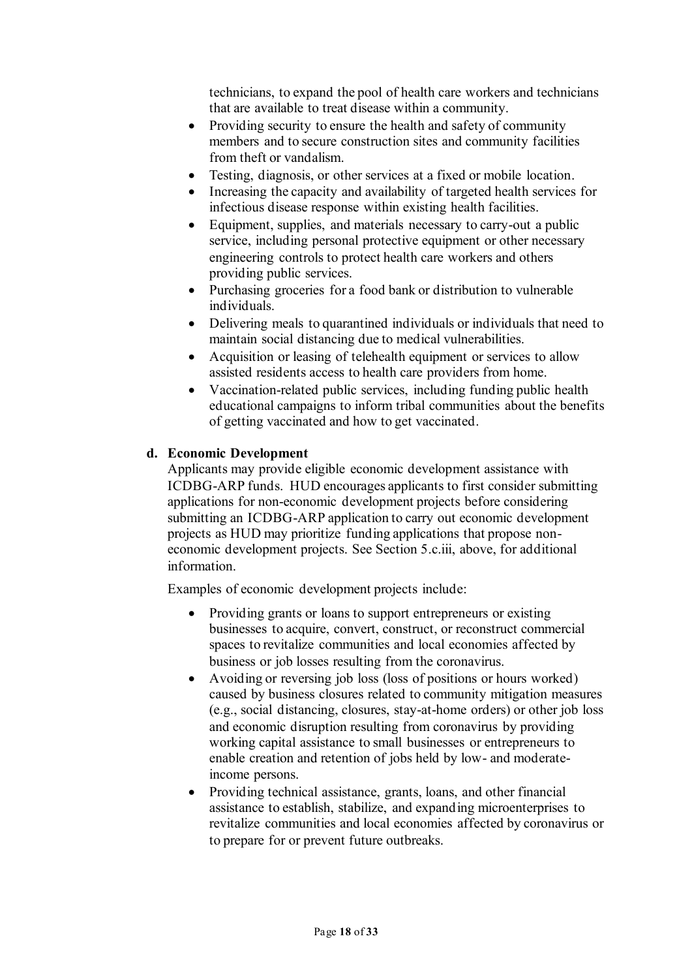technicians, to expand the pool of health care workers and technicians that are available to treat disease within a community.

- Providing security to ensure the health and safety of community members and to secure construction sites and community facilities from theft or vandalism.
- Testing, diagnosis, or other services at a fixed or mobile location.
- Increasing the capacity and availability of targeted health services for infectious disease response within existing health facilities.
- Equipment, supplies, and materials necessary to carry-out a public service, including personal protective equipment or other necessary engineering controls to protect health care workers and others providing public services.
- Purchasing groceries for a food bank or distribution to vulnerable individuals.
- Delivering meals to quarantined individuals or individuals that need to maintain social distancing due to medical vulnerabilities.
- Acquisition or leasing of telehealth equipment or services to allow assisted residents access to health care providers from home.
- Vaccination-related public services, including funding public health educational campaigns to inform tribal communities about the benefits of getting vaccinated and how to get vaccinated.

### **d. Economic Development**

Applicants may provide eligible economic development assistance with ICDBG-ARP funds. HUD encourages applicants to first consider submitting applications for non-economic development projects before considering submitting an ICDBG-ARP application to carry out economic development projects as HUD may prioritize funding applications that propose noneconomic development projects. See Section 5.c.iii, above, for additional information.

Examples of economic development projects include:

- Providing grants or loans to support entrepreneurs or existing businesses to acquire, convert, construct, or reconstruct commercial spaces to revitalize communities and local economies affected by business or job losses resulting from the coronavirus.
- Avoiding or reversing job loss (loss of positions or hours worked) caused by business closures related to community mitigation measures (e.g., social distancing, closures, stay-at-home orders) or other job loss and economic disruption resulting from coronavirus by providing working capital assistance to small businesses or entrepreneurs to enable creation and retention of jobs held by low- and moderateincome persons.
- Providing technical assistance, grants, loans, and other financial assistance to establish, stabilize, and expanding microenterprises to revitalize communities and local economies affected by coronavirus or to prepare for or prevent future outbreaks.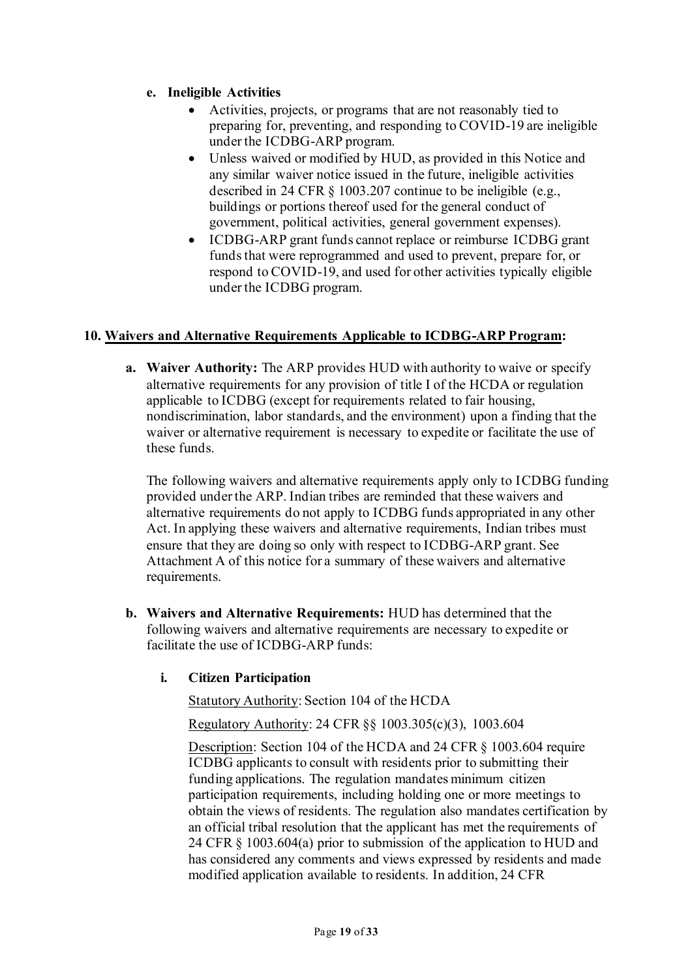# **e. Ineligible Activities**

- Activities, projects, or programs that are not reasonably tied to preparing for, preventing, and responding to COVID-19 are ineligible under the ICDBG-ARP program.
- Unless waived or modified by HUD, as provided in this Notice and any similar waiver notice issued in the future, ineligible activities described in 24 CFR § 1003.207 continue to be ineligible (e.g., buildings or portions thereof used for the general conduct of government, political activities, general government expenses).
- ICDBG-ARP grant funds cannot replace or reimburse ICDBG grant funds that were reprogrammed and used to prevent, prepare for, or respond to COVID-19, and used for other activities typically eligible under the ICDBG program.

## **10. Waivers and Alternative Requirements Applicable to ICDBG-ARP Program:**

**a. Waiver Authority:** The ARP provides HUD with authority to waive or specify alternative requirements for any provision of title I of the HCDA or regulation applicable to ICDBG (except for requirements related to fair housing, nondiscrimination, labor standards, and the environment) upon a finding that the waiver or alternative requirement is necessary to expedite or facilitate the use of these funds.

The following waivers and alternative requirements apply only to ICDBG funding provided under the ARP. Indian tribes are reminded that these waivers and alternative requirements do not apply to ICDBG funds appropriated in any other Act. In applying these waivers and alternative requirements, Indian tribes must ensure that they are doing so only with respect to ICDBG-ARP grant. See Attachment A of this notice for a summary of these waivers and alternative requirements.

**b. Waivers and Alternative Requirements:** HUD has determined that the following waivers and alternative requirements are necessary to expedite or facilitate the use of ICDBG-ARP funds:

## **i. Citizen Participation**

Statutory Authority: Section 104 of the HCDA

Regulatory Authority: 24 CFR §§ 1003.305(c)(3), 1003.604

Description: Section 104 of the HCDA and 24 CFR § 1003.604 require ICDBG applicants to consult with residents prior to submitting their funding applications. The regulation mandates minimum citizen participation requirements, including holding one or more meetings to obtain the views of residents. The regulation also mandates certification by an official tribal resolution that the applicant has met the requirements of 24 CFR § 1003.604(a) prior to submission of the application to HUD and has considered any comments and views expressed by residents and made modified application available to residents. In addition, 24 CFR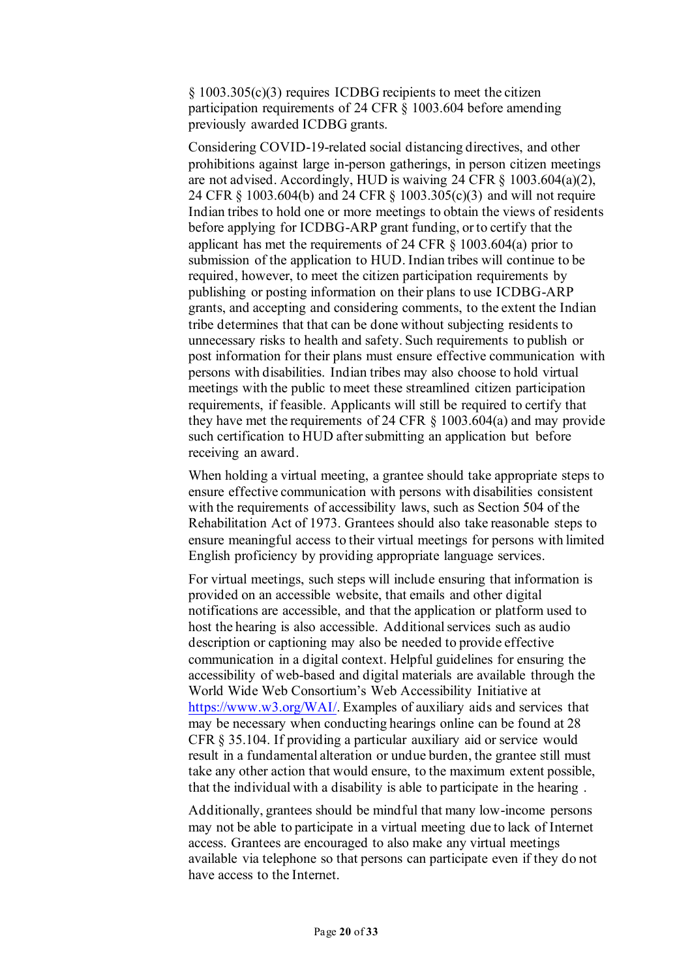§ 1003.305(c)(3) requires ICDBG recipients to meet the citizen participation requirements of 24 CFR § 1003.604 before amending previously awarded ICDBG grants.

Considering COVID-19-related social distancing directives, and other prohibitions against large in-person gatherings, in person citizen meetings are not advised. Accordingly, HUD is waiving 24 CFR § 1003.604(a)(2), 24 CFR § 1003.604(b) and 24 CFR § 1003.305(c)(3) and will not require Indian tribes to hold one or more meetings to obtain the views of residents before applying for ICDBG-ARP grant funding, or to certify that the applicant has met the requirements of 24 CFR § 1003.604(a) prior to submission of the application to HUD. Indian tribes will continue to be required, however, to meet the citizen participation requirements by publishing or posting information on their plans to use ICDBG-ARP grants, and accepting and considering comments, to the extent the Indian tribe determines that that can be done without subjecting residents to unnecessary risks to health and safety. Such requirements to publish or post information for their plans must ensure effective communication with persons with disabilities. Indian tribes may also choose to hold virtual meetings with the public to meet these streamlined citizen participation requirements, if feasible. Applicants will still be required to certify that they have met the requirements of 24 CFR § 1003.604(a) and may provide such certification to HUD after submitting an application but before receiving an award.

When holding a virtual meeting, a grantee should take appropriate steps to ensure effective communication with persons with disabilities consistent with the requirements of accessibility laws, such as Section 504 of the Rehabilitation Act of 1973. Grantees should also take reasonable steps to ensure meaningful access to their virtual meetings for persons with limited English proficiency by providing appropriate language services.

For virtual meetings, such steps will include ensuring that information is provided on an accessible website, that emails and other digital notifications are accessible, and that the application or platform used to host the hearing is also accessible. Additional services such as audio description or captioning may also be needed to provide effective communication in a digital context. Helpful guidelines for ensuring the accessibility of web-based and digital materials are available through the World Wide Web Consortium's Web Accessibility Initiative at [https://www.w3.org/WAI/.](https://www.w3.org/WAI/) Examples of auxiliary aids and services that may be necessary when conducting hearings online can be found at 28 CFR § 35.104. If providing a particular auxiliary aid or service would result in a fundamental alteration or undue burden, the grantee still must take any other action that would ensure, to the maximum extent possible, that the individual with a disability is able to participate in the hearing .

Additionally, grantees should be mindful that many low-income persons may not be able to participate in a virtual meeting due to lack of Internet access. Grantees are encouraged to also make any virtual meetings available via telephone so that persons can participate even if they do not have access to the Internet.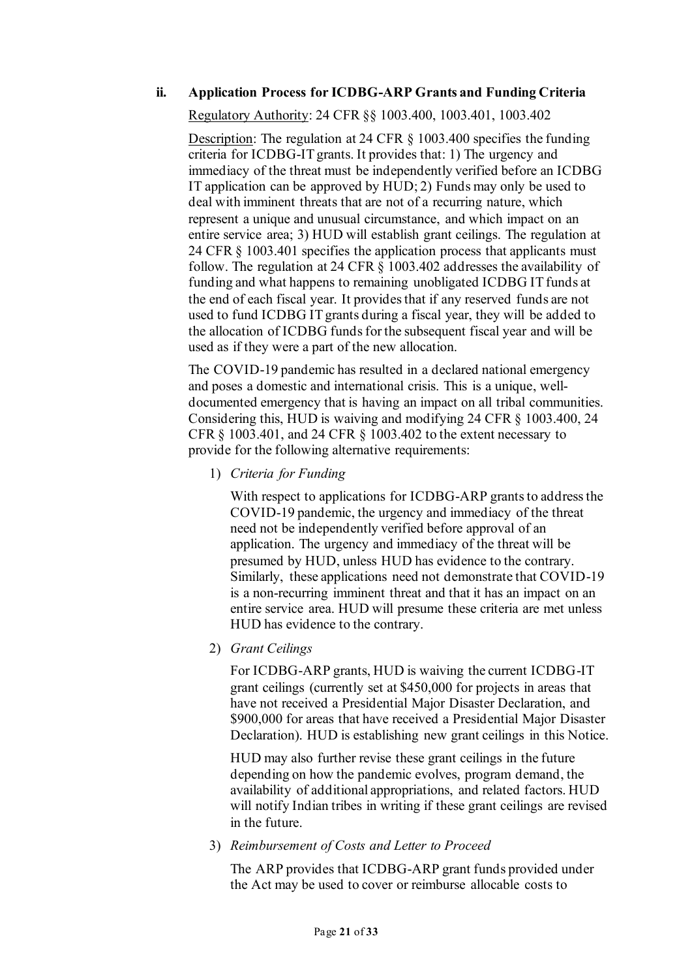### **ii. Application Process for ICDBG-ARP Grants and Funding Criteria**

Regulatory Authority: 24 CFR §§ 1003.400, 1003.401, 1003.402

Description: The regulation at 24 CFR § 1003.400 specifies the funding criteria for ICDBG-IT grants. It provides that: 1) The urgency and immediacy of the threat must be independently verified before an ICDBG IT application can be approved by HUD; 2) Funds may only be used to deal with imminent threats that are not of a recurring nature, which represent a unique and unusual circumstance, and which impact on an entire service area; 3) HUD will establish grant ceilings. The regulation at 24 CFR § 1003.401 specifies the application process that applicants must follow. The regulation at 24 CFR § 1003.402 addresses the availability of funding and what happens to remaining unobligated ICDBG IT funds at the end of each fiscal year. It provides that if any reserved funds are not used to fund ICDBG IT grants during a fiscal year, they will be added to the allocation of ICDBG funds for the subsequent fiscal year and will be used as if they were a part of the new allocation.

The COVID-19 pandemic has resulted in a declared national emergency and poses a domestic and international crisis. This is a unique, welldocumented emergency that is having an impact on all tribal communities. Considering this, HUD is waiving and modifying 24 CFR § 1003.400, 24 CFR § 1003.401, and 24 CFR § 1003.402 to the extent necessary to provide for the following alternative requirements:

1) *Criteria for Funding*

With respect to applications for ICDBG-ARP grants to address the COVID-19 pandemic, the urgency and immediacy of the threat need not be independently verified before approval of an application. The urgency and immediacy of the threat will be presumed by HUD, unless HUD has evidence to the contrary. Similarly, these applications need not demonstrate that COVID-19 is a non-recurring imminent threat and that it has an impact on an entire service area. HUD will presume these criteria are met unless HUD has evidence to the contrary.

2) *Grant Ceilings*

For ICDBG-ARP grants, HUD is waiving the current ICDBG-IT grant ceilings (currently set at \$450,000 for projects in areas that have not received a Presidential Major Disaster Declaration, and \$900,000 for areas that have received a Presidential Major Disaster Declaration). HUD is establishing new grant ceilings in this Notice.

HUD may also further revise these grant ceilings in the future depending on how the pandemic evolves, program demand, the availability of additional appropriations, and related factors. HUD will notify Indian tribes in writing if these grant ceilings are revised in the future.

3) *Reimbursement of Costs and Letter to Proceed*

The ARP provides that ICDBG-ARP grant funds provided under the Act may be used to cover or reimburse allocable costs to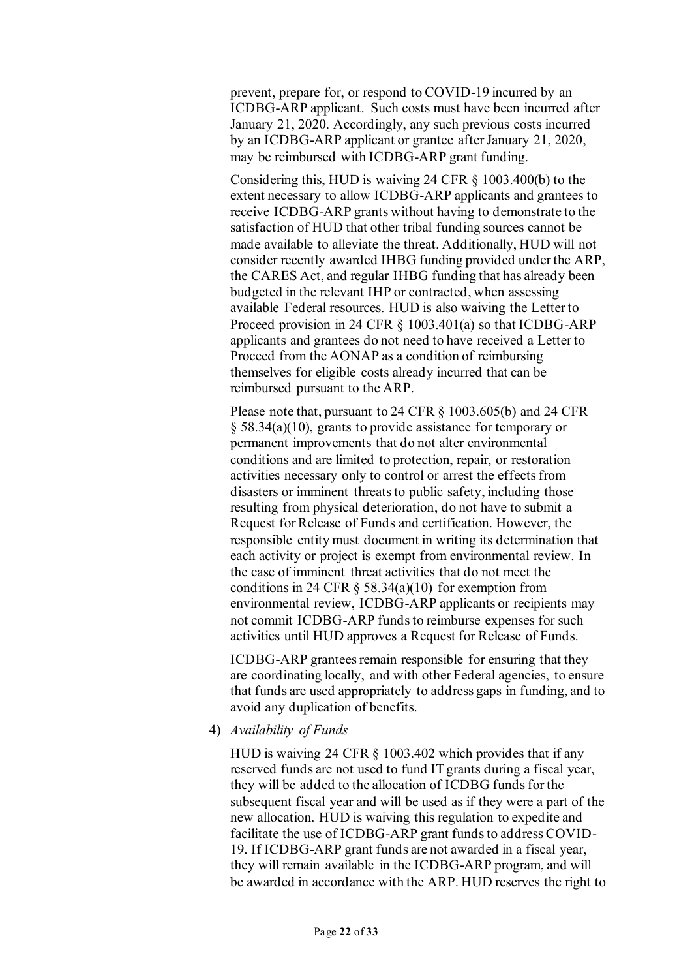prevent, prepare for, or respond to COVID-19 incurred by an ICDBG-ARP applicant. Such costs must have been incurred after January 21, 2020. Accordingly, any such previous costs incurred by an ICDBG-ARP applicant or grantee after January 21, 2020, may be reimbursed with ICDBG-ARP grant funding.

Considering this, HUD is waiving 24 CFR § 1003.400(b) to the extent necessary to allow ICDBG-ARP applicants and grantees to receive ICDBG-ARP grants without having to demonstrate to the satisfaction of HUD that other tribal funding sources cannot be made available to alleviate the threat. Additionally, HUD will not consider recently awarded IHBG funding provided under the ARP, the CARES Act, and regular IHBG funding that has already been budgeted in the relevant IHP or contracted, when assessing available Federal resources. HUD is also waiving the Letter to Proceed provision in 24 CFR § 1003.401(a) so that ICDBG-ARP applicants and grantees do not need to have received a Letter to Proceed from the AONAP as a condition of reimbursing themselves for eligible costs already incurred that can be reimbursed pursuant to the ARP.

Please note that, pursuant to 24 CFR § 1003.605(b) and 24 CFR § 58.34(a)(10), grants to provide assistance for temporary or permanent improvements that do not alter environmental conditions and are limited to protection, repair, or restoration activities necessary only to control or arrest the effects from disasters or imminent threats to public safety, including those resulting from physical deterioration, do not have to submit a Request for Release of Funds and certification. However, the responsible entity must document in writing its determination that each activity or project is exempt from environmental review. In the case of imminent threat activities that do not meet the conditions in 24 CFR  $\S$  58.34(a)(10) for exemption from environmental review, ICDBG-ARP applicants or recipients may not commit ICDBG-ARP funds to reimburse expenses for such activities until HUD approves a Request for Release of Funds.

ICDBG-ARP grantees remain responsible for ensuring that they are coordinating locally, and with other Federal agencies, to ensure that funds are used appropriately to address gaps in funding, and to avoid any duplication of benefits.

4) *Availability of Funds*

HUD is waiving 24 CFR § 1003.402 which provides that if any reserved funds are not used to fund IT grants during a fiscal year, they will be added to the allocation of ICDBG funds for the subsequent fiscal year and will be used as if they were a part of the new allocation. HUD is waiving this regulation to expedite and facilitate the use of ICDBG-ARP grant funds to address COVID-19. If ICDBG-ARP grant funds are not awarded in a fiscal year, they will remain available in the ICDBG-ARP program, and will be awarded in accordance with the ARP. HUD reserves the right to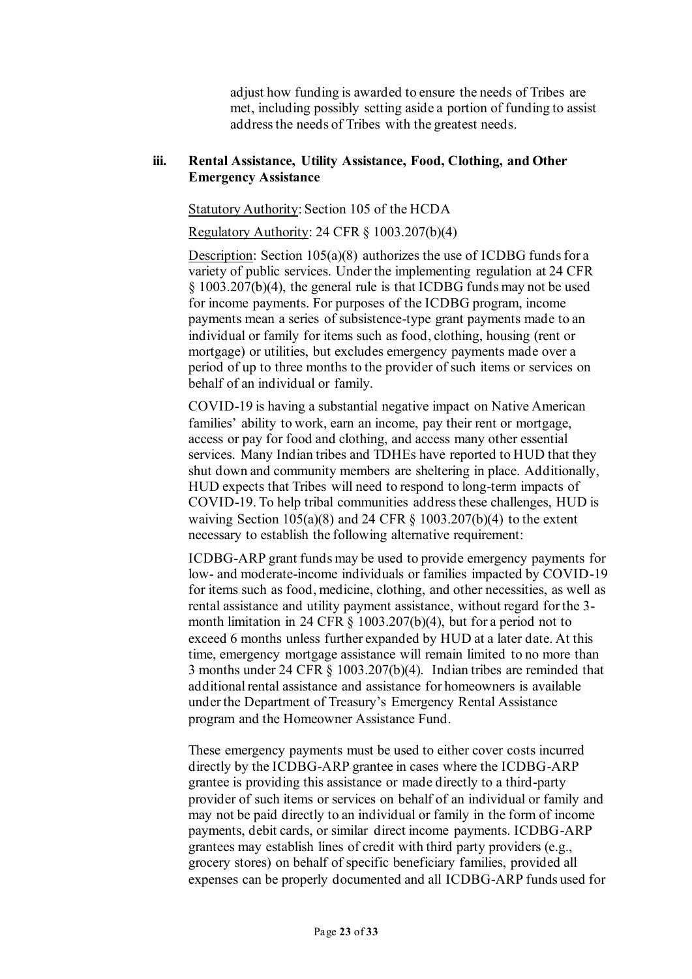adjust how funding is awarded to ensure the needs of Tribes are met, including possibly setting aside a portion of funding to assist address the needs of Tribes with the greatest needs.

#### **iii. Rental Assistance, Utility Assistance, Food, Clothing, and Other Emergency Assistance**

Statutory Authority: Section 105 of the HCDA

Regulatory Authority: 24 CFR § 1003.207(b)(4)

Description: Section 105(a)(8) authorizes the use of ICDBG funds for a variety of public services. Under the implementing regulation at 24 CFR § 1003.207(b)(4), the general rule is that ICDBG funds may not be used for income payments. For purposes of the ICDBG program, income payments mean a series of subsistence-type grant payments made to an individual or family for items such as food, clothing, housing (rent or mortgage) or utilities, but excludes emergency payments made over a period of up to three months to the provider of such items or services on behalf of an individual or family.

COVID-19 is having a substantial negative impact on Native American families' ability to work, earn an income, pay their rent or mortgage, access or pay for food and clothing, and access many other essential services. Many Indian tribes and TDHEs have reported to HUD that they shut down and community members are sheltering in place. Additionally, HUD expects that Tribes will need to respond to long-term impacts of COVID-19. To help tribal communities address these challenges, HUD is waiving Section  $105(a)(8)$  and 24 CFR § 1003.207(b)(4) to the extent necessary to establish the following alternative requirement:

ICDBG-ARP grant funds may be used to provide emergency payments for low- and moderate-income individuals or families impacted by COVID-19 for items such as food, medicine, clothing, and other necessities, as well as rental assistance and utility payment assistance, without regard for the 3 month limitation in 24 CFR § 1003.207(b)(4), but for a period not to exceed 6 months unless further expanded by HUD at a later date. At this time, emergency mortgage assistance will remain limited to no more than 3 months under 24 CFR § 1003.207(b)(4). Indian tribes are reminded that additional rental assistance and assistance for homeowners is available under the Department of Treasury's Emergency Rental Assistance program and the Homeowner Assistance Fund.

These emergency payments must be used to either cover costs incurred directly by the ICDBG-ARP grantee in cases where the ICDBG-ARP grantee is providing this assistance or made directly to a third-party provider of such items or services on behalf of an individual or family and may not be paid directly to an individual or family in the form of income payments, debit cards, or similar direct income payments. ICDBG-ARP grantees may establish lines of credit with third party providers (e.g., grocery stores) on behalf of specific beneficiary families, provided all expenses can be properly documented and all ICDBG-ARP funds used for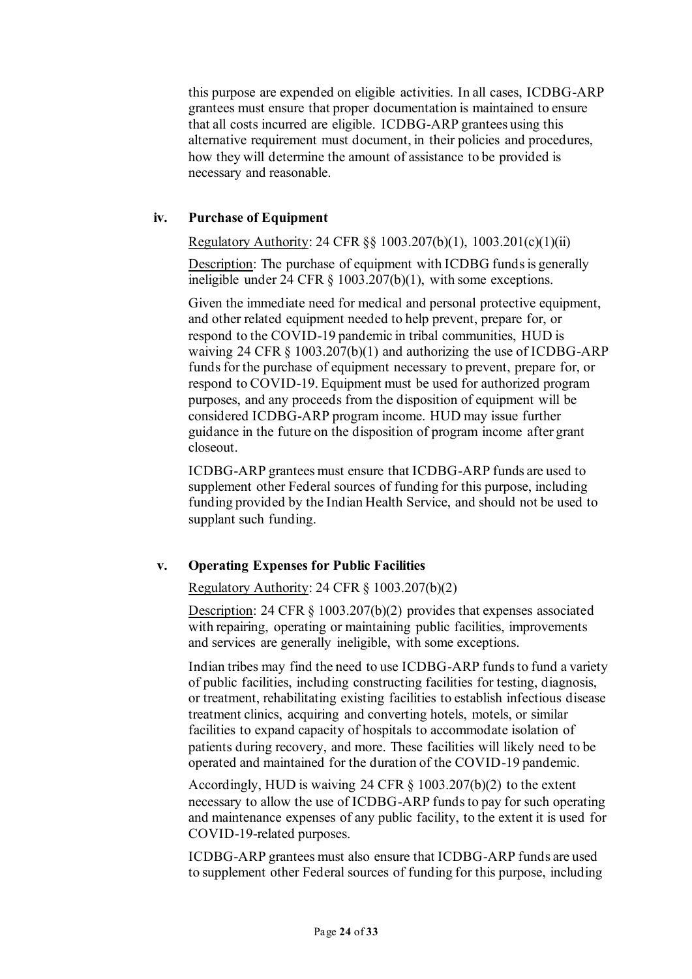this purpose are expended on eligible activities. In all cases, ICDBG-ARP grantees must ensure that proper documentation is maintained to ensure that all costs incurred are eligible. ICDBG-ARP grantees using this alternative requirement must document, in their policies and procedures, how they will determine the amount of assistance to be provided is necessary and reasonable.

#### **iv. Purchase of Equipment**

Regulatory Authority: 24 CFR §§ 1003.207(b)(1), 1003.201(c)(1)(ii)

Description: The purchase of equipment with ICDBG funds is generally ineligible under 24 CFR § 1003.207(b)(1), with some exceptions.

Given the immediate need for medical and personal protective equipment, and other related equipment needed to help prevent, prepare for, or respond to the COVID-19 pandemic in tribal communities, HUD is waiving 24 CFR § 1003.207(b)(1) and authorizing the use of ICDBG-ARP funds for the purchase of equipment necessary to prevent, prepare for, or respond to COVID-19. Equipment must be used for authorized program purposes, and any proceeds from the disposition of equipment will be considered ICDBG-ARP program income. HUD may issue further guidance in the future on the disposition of program income after grant closeout.

ICDBG-ARP grantees must ensure that ICDBG-ARP funds are used to supplement other Federal sources of funding for this purpose, including funding provided by the Indian Health Service, and should not be used to supplant such funding.

## **v. Operating Expenses for Public Facilities**

Regulatory Authority: 24 CFR § 1003.207(b)(2)

Description: 24 CFR § 1003.207(b)(2) provides that expenses associated with repairing, operating or maintaining public facilities, improvements and services are generally ineligible, with some exceptions.

Indian tribes may find the need to use ICDBG-ARP funds to fund a variety of public facilities, including constructing facilities for testing, diagnosis, or treatment, rehabilitating existing facilities to establish infectious disease treatment clinics, acquiring and converting hotels, motels, or similar facilities to expand capacity of hospitals to accommodate isolation of patients during recovery, and more. These facilities will likely need to be operated and maintained for the duration of the COVID-19 pandemic.

Accordingly, HUD is waiving 24 CFR § 1003.207(b)(2) to the extent necessary to allow the use of ICDBG-ARP funds to pay for such operating and maintenance expenses of any public facility, to the extent it is used for COVID-19-related purposes.

ICDBG-ARP grantees must also ensure that ICDBG-ARP funds are used to supplement other Federal sources of funding for this purpose, including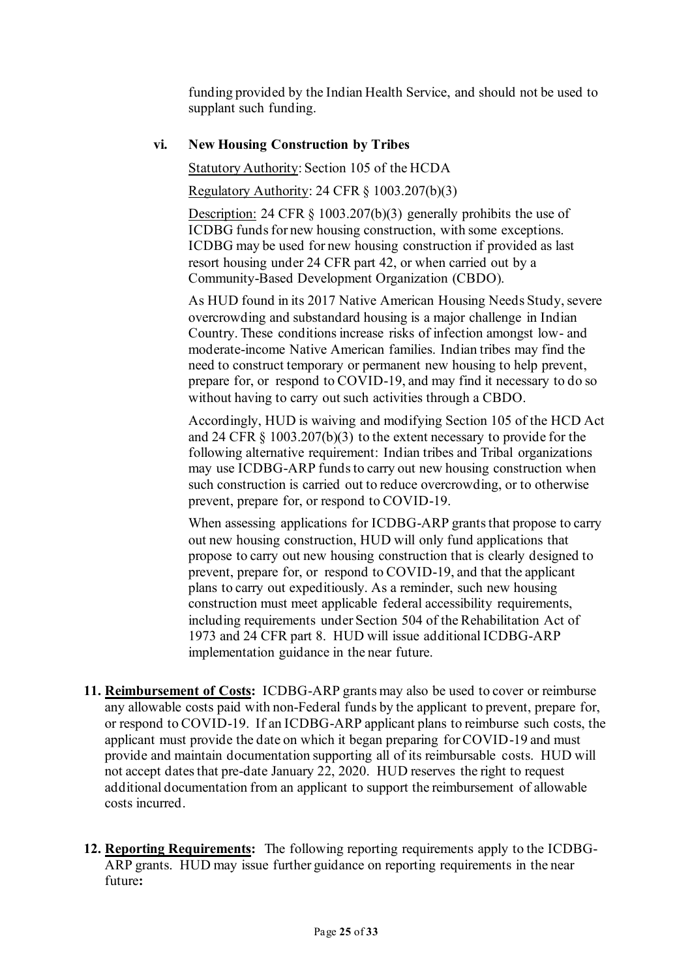funding provided by the Indian Health Service, and should not be used to supplant such funding.

# **vi. New Housing Construction by Tribes**

### Statutory Authority: Section 105 of the HCDA

Regulatory Authority: 24 CFR § 1003.207(b)(3)

Description: 24 CFR § 1003.207(b)(3) generally prohibits the use of ICDBG funds for new housing construction, with some exceptions. ICDBG may be used for new housing construction if provided as last resort housing under 24 CFR part 42, or when carried out by a Community-Based Development Organization (CBDO).

As HUD found in its 2017 Native American Housing Needs Study, severe overcrowding and substandard housing is a major challenge in Indian Country. These conditions increase risks of infection amongst low- and moderate-income Native American families. Indian tribes may find the need to construct temporary or permanent new housing to help prevent, prepare for, or respond to COVID-19, and may find it necessary to do so without having to carry out such activities through a CBDO.

Accordingly, HUD is waiving and modifying Section 105 of the HCD Act and 24 CFR § 1003.207(b)(3) to the extent necessary to provide for the following alternative requirement: Indian tribes and Tribal organizations may use ICDBG-ARP funds to carry out new housing construction when such construction is carried out to reduce overcrowding, or to otherwise prevent, prepare for, or respond to COVID-19.

When assessing applications for ICDBG-ARP grants that propose to carry out new housing construction, HUD will only fund applications that propose to carry out new housing construction that is clearly designed to prevent, prepare for, or respond to COVID-19, and that the applicant plans to carry out expeditiously. As a reminder, such new housing construction must meet applicable federal accessibility requirements, including requirements under Section 504 of the Rehabilitation Act of 1973 and 24 CFR part 8. HUD will issue additional ICDBG-ARP implementation guidance in the near future.

- **11. Reimbursement of Costs:** ICDBG-ARP grants may also be used to cover or reimburse any allowable costs paid with non-Federal funds by the applicant to prevent, prepare for, or respond to COVID-19. If an ICDBG-ARP applicant plans to reimburse such costs, the applicant must provide the date on which it began preparing for COVID-19 and must provide and maintain documentation supporting all of its reimbursable costs. HUD will not accept dates that pre-date January 22, 2020. HUD reserves the right to request additional documentation from an applicant to support the reimbursement of allowable costs incurred.
- **12. Reporting Requirements:** The following reporting requirements apply to the ICDBG-ARP grants. HUD may issue further guidance on reporting requirements in the near future**:**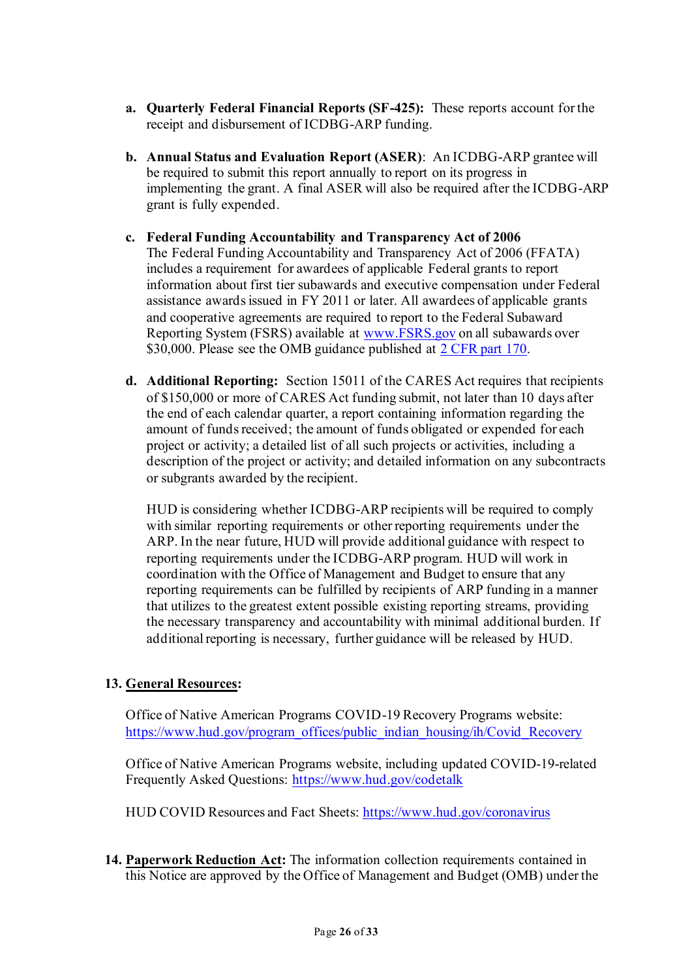- **a. Quarterly Federal Financial Reports (SF-425):** These reports account for the receipt and disbursement of ICDBG-ARP funding.
- **b. Annual Status and Evaluation Report (ASER)**: An ICDBG-ARP grantee will be required to submit this report annually to report on its progress in implementing the grant. A final ASER will also be required after the ICDBG-ARP grant is fully expended.
- **c. Federal Funding Accountability and Transparency Act of 2006** The Federal Funding Accountability and Transparency Act of 2006 (FFATA) includes a requirement for awardees of applicable Federal grants to report information about first tier subawards and executive compensation under Federal assistance awards issued in FY 2011 or later. All awardees of applicable grants and cooperative agreements are required to report to the Federal Subaward Reporting System (FSRS) available at [www.FSRS.gov](http://www.fsrs.gov/) on all subawards over \$30,000. Please see the OMB guidance published at [2 CFR part 170.](https://www.ecfr.gov/cgi-bin/text-idx?tpl=/ecfrbrowse/Title02/2cfr170_main_02.tpl)
- **d. Additional Reporting:** Section 15011 of the CARES Act requires that recipients of \$150,000 or more of CARES Act funding submit, not later than 10 days after the end of each calendar quarter, a report containing information regarding the amount of funds received; the amount of funds obligated or expended for each project or activity; a detailed list of all such projects or activities, including a description of the project or activity; and detailed information on any subcontracts or subgrants awarded by the recipient.

HUD is considering whether ICDBG-ARP recipients will be required to comply with similar reporting requirements or other reporting requirements under the ARP. In the near future, HUD will provide additional guidance with respect to reporting requirements under the ICDBG-ARP program. HUD will work in coordination with the Office of Management and Budget to ensure that any reporting requirements can be fulfilled by recipients of ARP funding in a manner that utilizes to the greatest extent possible existing reporting streams, providing the necessary transparency and accountability with minimal additional burden. If additional reporting is necessary, further guidance will be released by HUD.

## **13. General Resources:**

Office of Native American Programs COVID-19 Recovery Programs website: [https://www.hud.gov/program\\_offices/public\\_indian\\_housing/ih/Covid\\_Recovery](https://www.hud.gov/program_offices/public_indian_housing/ih/Covid_Recovery)

Office of Native American Programs website, including updated COVID-19-related Frequently Asked Questions:<https://www.hud.gov/codetalk>

HUD COVID Resources and Fact Sheets:<https://www.hud.gov/coronavirus>

**14. Paperwork Reduction Act:** The information collection requirements contained in this Notice are approved by the Office of Management and Budget (OMB) under the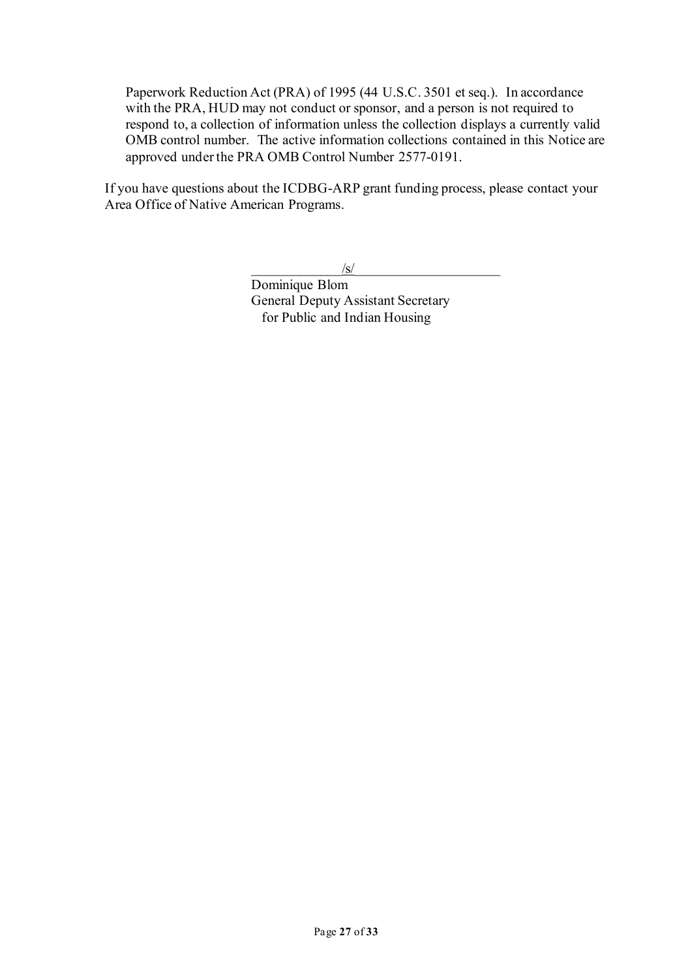Paperwork Reduction Act (PRA) of 1995 (44 U.S.C. 3501 et seq.). In accordance with the PRA, HUD may not conduct or sponsor, and a person is not required to respond to, a collection of information unless the collection displays a currently valid OMB control number. The active information collections contained in this Notice are approved under the PRA OMB Control Number 2577-0191.

If you have questions about the ICDBG-ARP grant funding process, please contact your Area Office of Native American Programs.

 $/\mathrm{s}/$ 

Dominique Blom General Deputy Assistant Secretary for Public and Indian Housing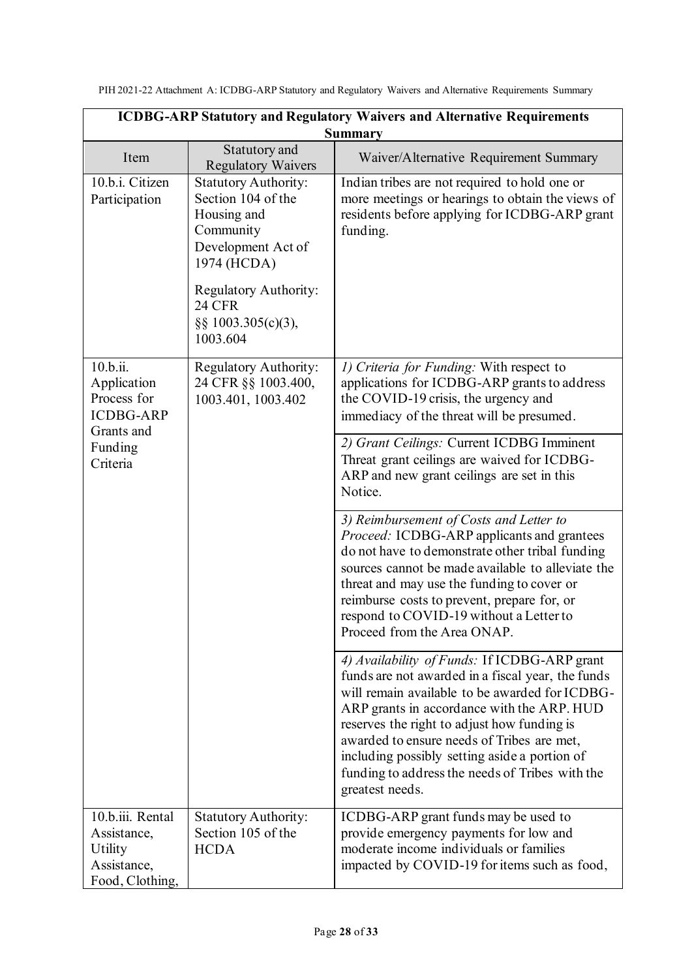| PIH 2021-22 Attachment A: ICDBG-ARP Statutory and Regulatory Waivers and Alternative Requirements Summary |  |
|-----------------------------------------------------------------------------------------------------------|--|
|-----------------------------------------------------------------------------------------------------------|--|

| <b>ICDBG-ARP Statutory and Regulatory Waivers and Alternative Requirements</b> |                                                                                                                                                                                                |                                                                                                                                                                                                                                                                                                                                                                                                                       |  |
|--------------------------------------------------------------------------------|------------------------------------------------------------------------------------------------------------------------------------------------------------------------------------------------|-----------------------------------------------------------------------------------------------------------------------------------------------------------------------------------------------------------------------------------------------------------------------------------------------------------------------------------------------------------------------------------------------------------------------|--|
| <b>Summary</b>                                                                 |                                                                                                                                                                                                |                                                                                                                                                                                                                                                                                                                                                                                                                       |  |
| Item                                                                           | Statutory and<br><b>Regulatory Waivers</b>                                                                                                                                                     | Waiver/Alternative Requirement Summary                                                                                                                                                                                                                                                                                                                                                                                |  |
| 10.b.i. Citizen<br>Participation                                               | <b>Statutory Authority:</b><br>Section 104 of the<br>Housing and<br>Community<br>Development Act of<br>1974 (HCDA)<br>Regulatory Authority:<br><b>24 CFR</b><br>§§ 1003.305(c)(3),<br>1003.604 | Indian tribes are not required to hold one or<br>more meetings or hearings to obtain the views of<br>residents before applying for ICDBG-ARP grant<br>funding.                                                                                                                                                                                                                                                        |  |
| 10.b.ii.<br>Application<br>Process for<br><b>ICDBG-ARP</b><br>Grants and       | <b>Regulatory Authority:</b><br>24 CFR §§ 1003.400,<br>1003.401, 1003.402                                                                                                                      | 1) Criteria for Funding: With respect to<br>applications for ICDBG-ARP grants to address<br>the COVID-19 crisis, the urgency and<br>immediacy of the threat will be presumed.                                                                                                                                                                                                                                         |  |
| Funding<br>Criteria                                                            |                                                                                                                                                                                                | 2) Grant Ceilings: Current ICDBG Imminent<br>Threat grant ceilings are waived for ICDBG-<br>ARP and new grant ceilings are set in this<br>Notice.                                                                                                                                                                                                                                                                     |  |
|                                                                                |                                                                                                                                                                                                | 3) Reimbursement of Costs and Letter to<br>Proceed: ICDBG-ARP applicants and grantees<br>do not have to demonstrate other tribal funding<br>sources cannot be made available to alleviate the<br>threat and may use the funding to cover or<br>reimburse costs to prevent, prepare for, or<br>respond to COVID-19 without a Letter to<br>Proceed from the Area ONAP.                                                  |  |
|                                                                                |                                                                                                                                                                                                | 4) Availability of Funds: If ICDBG-ARP grant<br>funds are not awarded in a fiscal year, the funds<br>will remain available to be awarded for ICDBG-<br>ARP grants in accordance with the ARP. HUD<br>reserves the right to adjust how funding is<br>awarded to ensure needs of Tribes are met,<br>including possibly setting aside a portion of<br>funding to address the needs of Tribes with the<br>greatest needs. |  |
| $10.b.iii.$ Rental<br>Assistance,<br>Utility<br>Assistance,<br>Food, Clothing, | <b>Statutory Authority:</b><br>Section 105 of the<br><b>HCDA</b>                                                                                                                               | ICDBG-ARP grant funds may be used to<br>provide emergency payments for low and<br>moderate income individuals or families<br>impacted by COVID-19 for items such as food,                                                                                                                                                                                                                                             |  |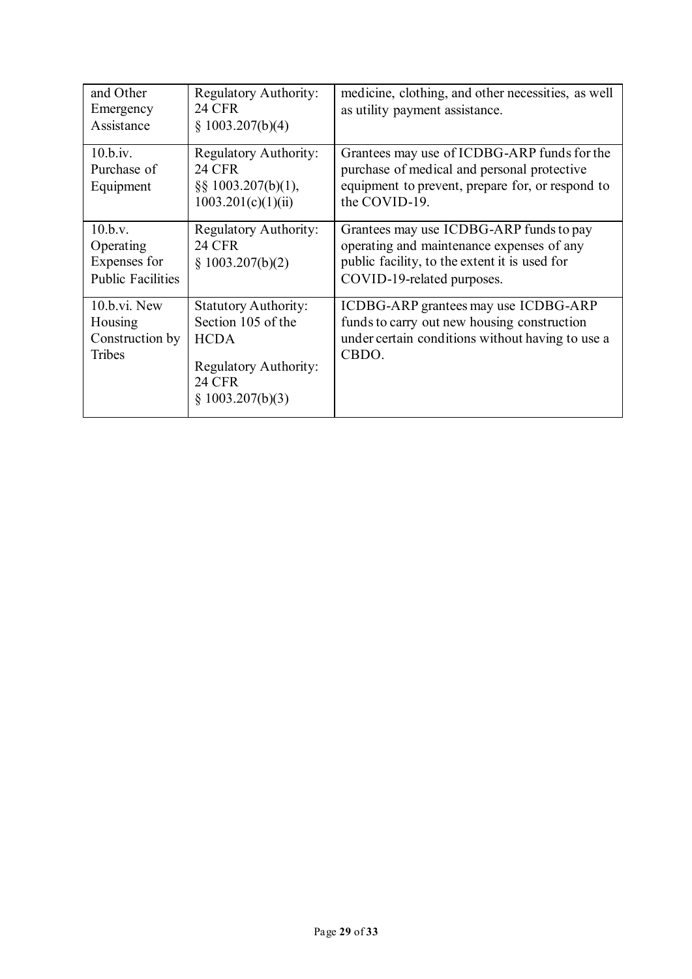| and Other<br>Emergency<br>Assistance                             | <b>Regulatory Authority:</b><br><b>24 CFR</b><br>§ 1003.207(b)(4)                                                                     | medicine, clothing, and other necessities, as well<br>as utility payment assistance.                                                                                |
|------------------------------------------------------------------|---------------------------------------------------------------------------------------------------------------------------------------|---------------------------------------------------------------------------------------------------------------------------------------------------------------------|
| 10.b.iv.<br>Purchase of<br>Equipment                             | <b>Regulatory Authority:</b><br><b>24 CFR</b><br>$\S$ § 1003.207(b)(1),<br>1003.201(c)(1)(ii)                                         | Grantees may use of ICDBG-ARP funds for the<br>purchase of medical and personal protective<br>equipment to prevent, prepare for, or respond to<br>the COVID-19.     |
| 10.b.v.<br>Operating<br>Expenses for<br><b>Public Facilities</b> | <b>Regulatory Authority:</b><br><b>24 CFR</b><br>§ 1003.207(b)(2)                                                                     | Grantees may use ICDBG-ARP funds to pay<br>operating and maintenance expenses of any<br>public facility, to the extent it is used for<br>COVID-19-related purposes. |
| $10.b.vi.$ New<br>Housing<br>Construction by<br>Tribes           | <b>Statutory Authority:</b><br>Section 105 of the<br><b>HCDA</b><br><b>Regulatory Authority:</b><br><b>24 CFR</b><br>§ 1003.207(b)(3) | ICDBG-ARP grantees may use ICDBG-ARP<br>funds to carry out new housing construction<br>under certain conditions without having to use a<br>CBDO.                    |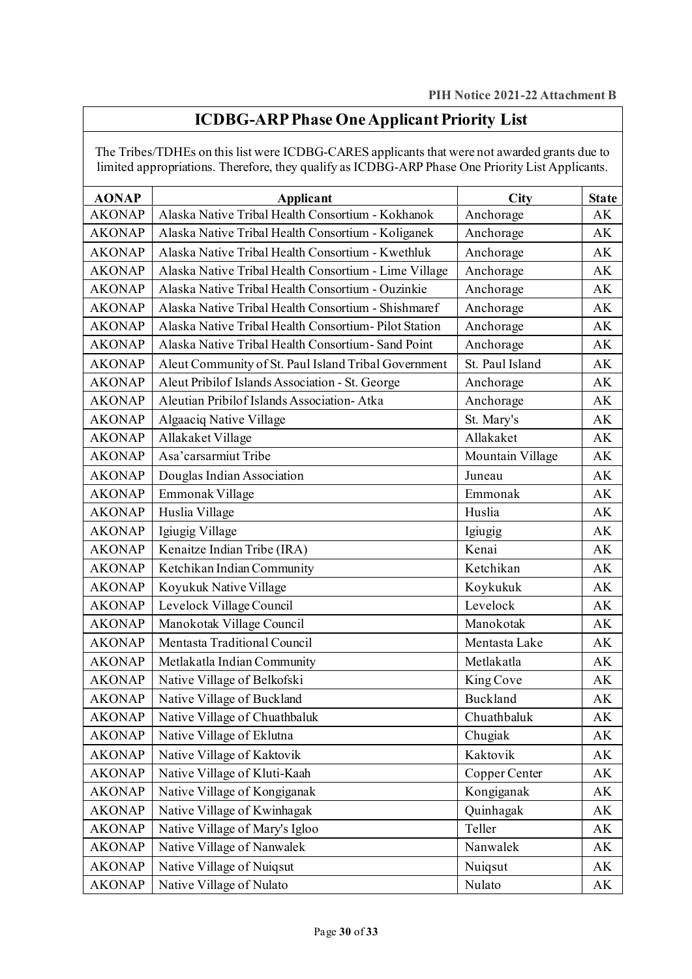# **ICDBG-ARP Phase One Applicant Priority List**

The Tribes/TDHEs on this list were ICDBG-CARES applicants that were not awarded grants due to limited appropriations. Therefore, they qualify as ICDBG-ARP Phase One Priority List Applicants.

| <b>AONAP</b>  | Applicant                                             | <b>City</b>      | <b>State</b> |
|---------------|-------------------------------------------------------|------------------|--------------|
| <b>AKONAP</b> | Alaska Native Tribal Health Consortium - Kokhanok     | Anchorage        | AK           |
| <b>AKONAP</b> | Alaska Native Tribal Health Consortium - Koliganek    | Anchorage        | AK           |
| <b>AKONAP</b> | Alaska Native Tribal Health Consortium - Kwethluk     | Anchorage        | AK           |
| <b>AKONAP</b> | Alaska Native Tribal Health Consortium - Lime Village | Anchorage        | AK           |
| <b>AKONAP</b> | Alaska Native Tribal Health Consortium - Ouzinkie     | Anchorage        | AK           |
| <b>AKONAP</b> | Alaska Native Tribal Health Consortium - Shishmaref   | Anchorage        | AK           |
| <b>AKONAP</b> | Alaska Native Tribal Health Consortium-Pilot Station  | Anchorage        | AK           |
| <b>AKONAP</b> | Alaska Native Tribal Health Consortium-Sand Point     | Anchorage        | AK           |
| <b>AKONAP</b> | Aleut Community of St. Paul Island Tribal Government  | St. Paul Island  | AK           |
| <b>AKONAP</b> | Aleut Pribilof Islands Association - St. George       | Anchorage        | AK           |
| <b>AKONAP</b> | Aleutian Pribilof Islands Association-Atka            | Anchorage        | AK           |
| <b>AKONAP</b> | Algaaciq Native Village                               | St. Mary's       | AK           |
| <b>AKONAP</b> | Allakaket Village                                     | Allakaket        | AK           |
| <b>AKONAP</b> | Asa'carsarmiut Tribe                                  | Mountain Village | AK           |
| <b>AKONAP</b> | Douglas Indian Association                            | Juneau           | AK           |
| <b>AKONAP</b> | Emmonak Village                                       | Emmonak          | AK           |
| <b>AKONAP</b> | Huslia Village                                        | Huslia           | AK           |
| <b>AKONAP</b> | Igiugig Village                                       | Igiugig          | AK           |
| <b>AKONAP</b> | Kenaitze Indian Tribe (IRA)                           | Kenai            | AK           |
| <b>AKONAP</b> | Ketchikan Indian Community                            | Ketchikan        | AK           |
| <b>AKONAP</b> | Koyukuk Native Village                                | Koykukuk         | AK           |
| <b>AKONAP</b> | Levelock Village Council                              | Levelock         | AK           |
| <b>AKONAP</b> | Manokotak Village Council                             | Manokotak        | AK           |
| <b>AKONAP</b> | Mentasta Traditional Council                          | Mentasta Lake    | AK           |
| <b>AKONAP</b> | Metlakatla Indian Community                           | Metlakatla       | AK           |
| <b>AKONAP</b> | Native Village of Belkofski                           | King Cove        | AK           |
| <b>AKONAP</b> | Native Village of Buckland                            | Buckland         | AK           |
| <b>AKONAP</b> | Native Village of Chuathbaluk                         | Chuathbaluk      | AK           |
| <b>AKONAP</b> | Native Village of Eklutna                             | Chugiak          | АK           |
| <b>AKONAP</b> | Native Village of Kaktovik                            | Kaktovik         | АK           |
| <b>AKONAP</b> | Native Village of Kluti-Kaah                          | Copper Center    | AK           |
| <b>AKONAP</b> | Native Village of Kongiganak                          | Kongiganak       | АK           |
| <b>AKONAP</b> | Native Village of Kwinhagak                           | Quinhagak        | АK           |
| <b>AKONAP</b> | Native Village of Mary's Igloo                        | Teller           | AK           |
| <b>AKONAP</b> | Native Village of Nanwalek                            | Nanwalek         | АK           |
| <b>AKONAP</b> | Native Village of Nuiqsut                             | Nuiqsut          | АK           |
| <b>AKONAP</b> | Native Village of Nulato                              | Nulato           | AK           |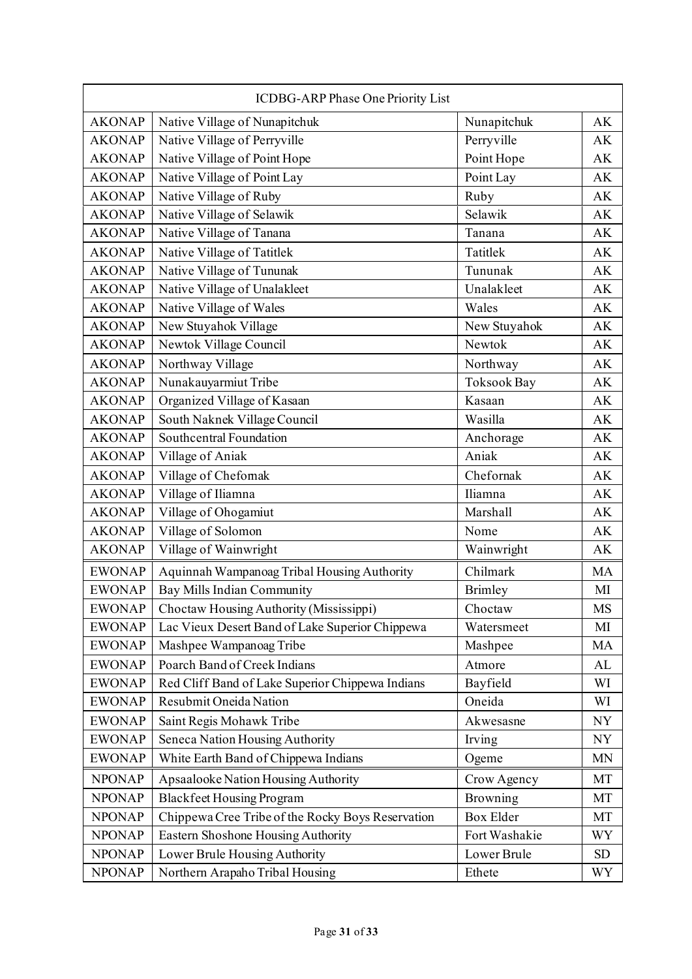| ICDBG-ARP Phase One Priority List |                                                   |                    |           |
|-----------------------------------|---------------------------------------------------|--------------------|-----------|
| <b>AKONAP</b>                     | Native Village of Nunapitchuk                     | Nunapitchuk        | AK        |
| <b>AKONAP</b>                     | Native Village of Perryville                      | Perryville         | AK        |
| <b>AKONAP</b>                     | Native Village of Point Hope                      | Point Hope         | AK        |
| <b>AKONAP</b>                     | Native Village of Point Lay                       | Point Lay          | AK        |
| <b>AKONAP</b>                     | Native Village of Ruby                            | Ruby               | AK        |
| <b>AKONAP</b>                     | Native Village of Selawik                         | Selawik            | AK        |
| <b>AKONAP</b>                     | Native Village of Tanana                          | Tanana             | AK        |
| <b>AKONAP</b>                     | Native Village of Tatitlek                        | Tatitlek           | AK        |
| <b>AKONAP</b>                     | Native Village of Tununak                         | Tununak            | AK        |
| <b>AKONAP</b>                     | Native Village of Unalakleet                      | Unalakleet         | AK        |
| <b>AKONAP</b>                     | Native Village of Wales                           | Wales              | AK        |
| <b>AKONAP</b>                     | New Stuyahok Village                              | New Stuyahok       | AK        |
| <b>AKONAP</b>                     | Newtok Village Council                            | Newtok             | AK        |
| <b>AKONAP</b>                     | Northway Village                                  | Northway           | AK        |
| <b>AKONAP</b>                     | Nunakauyarmiut Tribe                              | <b>Toksook Bay</b> | AK        |
| <b>AKONAP</b>                     | Organized Village of Kasaan                       | Kasaan             | AK        |
| <b>AKONAP</b>                     | South Naknek Village Council                      | Wasilla            | AK        |
| <b>AKONAP</b>                     | Southcentral Foundation                           | Anchorage          | AK        |
| <b>AKONAP</b>                     | Village of Aniak                                  | Aniak              | AK        |
| <b>AKONAP</b>                     | Village of Chefomak                               | Chefornak          | AK        |
| <b>AKONAP</b>                     | Village of Iliamna                                | Iliamna            | AK        |
| <b>AKONAP</b>                     | Village of Ohogamiut                              | Marshall           | AK        |
| <b>AKONAP</b>                     | Village of Solomon                                | Nome               | AK        |
| <b>AKONAP</b>                     | Village of Wainwright                             | Wainwright         | AK        |
| <b>EWONAP</b>                     | Aquinnah Wampanoag Tribal Housing Authority       | Chilmark           | <b>MA</b> |
| <b>EWONAP</b>                     | Bay Mills Indian Community                        | <b>Brimley</b>     | MI        |
| <b>EWONAP</b>                     | Choctaw Housing Authority (Mississippi)           | Choctaw            | MS        |
| <b>EWONAP</b>                     | Lac Vieux Desert Band of Lake Superior Chippewa   | Watersmeet         | MI        |
| <b>EWONAP</b>                     | Mashpee Wampanoag Tribe                           | Mashpee            | MA        |
| <b>EWONAP</b>                     | Poarch Band of Creek Indians                      | Atmore             | AL        |
| <b>EWONAP</b>                     | Red Cliff Band of Lake Superior Chippewa Indians  | Bayfield           | WI        |
| <b>EWONAP</b>                     | Resubmit Oneida Nation                            | Oneida             | WI        |
| <b>EWONAP</b>                     | Saint Regis Mohawk Tribe                          | Akwesasne          | <b>NY</b> |
| <b>EWONAP</b>                     | Seneca Nation Housing Authority                   | Irving             | NY        |
| <b>EWONAP</b>                     | White Earth Band of Chippewa Indians              | Ogeme              | MN        |
| <b>NPONAP</b>                     | Apsaalooke Nation Housing Authority               | Crow Agency        | MT        |
| <b>NPONAP</b>                     | <b>Blackfeet Housing Program</b>                  | Browning           | MT        |
| <b>NPONAP</b>                     | Chippewa Cree Tribe of the Rocky Boys Reservation | <b>Box Elder</b>   | MT        |
| <b>NPONAP</b>                     | Eastern Shoshone Housing Authority                | Fort Washakie      | WY        |
| <b>NPONAP</b>                     | Lower Brule Housing Authority                     | Lower Brule        | SD        |
| <b>NPONAP</b>                     | Northern Arapaho Tribal Housing                   | Ethete             | WY        |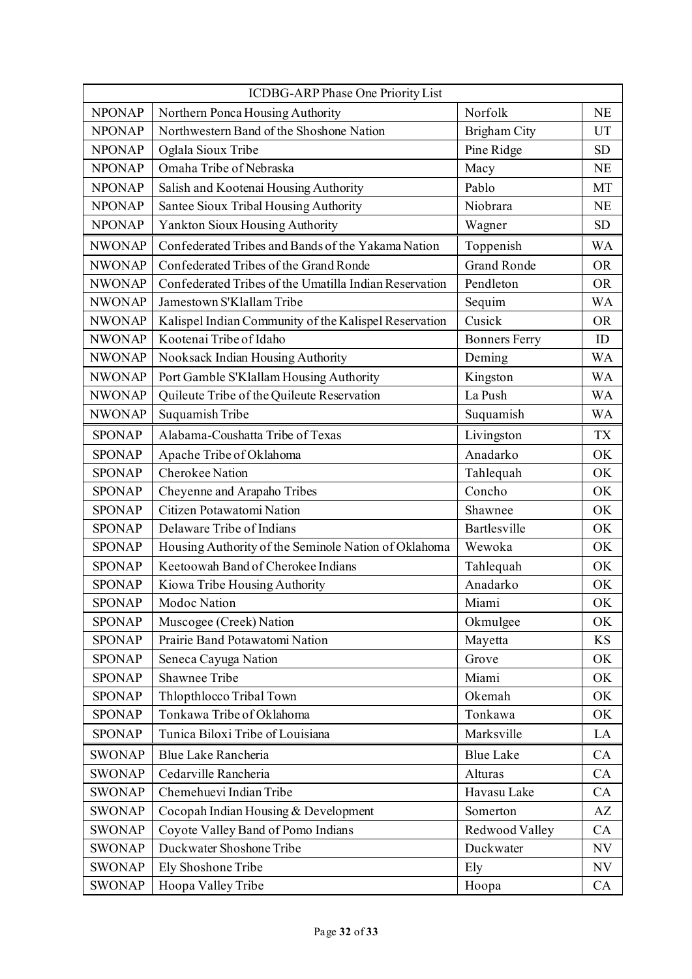| ICDBG-ARP Phase One Priority List |                                                        |                      |                          |
|-----------------------------------|--------------------------------------------------------|----------------------|--------------------------|
| <b>NPONAP</b>                     | Northern Ponca Housing Authority                       | Norfolk              | <b>NE</b>                |
| <b>NPONAP</b>                     | Northwestern Band of the Shoshone Nation               | Brigham City         | UT                       |
| <b>NPONAP</b>                     | Oglala Sioux Tribe                                     | Pine Ridge           | <b>SD</b>                |
| <b>NPONAP</b>                     | Omaha Tribe of Nebraska                                | Macy                 | <b>NE</b>                |
| <b>NPONAP</b>                     | Salish and Kootenai Housing Authority                  | Pablo                | MT                       |
| <b>NPONAP</b>                     | Santee Sioux Tribal Housing Authority                  | Niobrara             | <b>NE</b>                |
| <b>NPONAP</b>                     | Yankton Sioux Housing Authority                        | Wagner               | <b>SD</b>                |
| <b>NWONAP</b>                     | Confederated Tribes and Bands of the Yakama Nation     | Toppenish            | WA                       |
| <b>NWONAP</b>                     | Confederated Tribes of the Grand Ronde                 | <b>Grand Ronde</b>   | <b>OR</b>                |
| <b>NWONAP</b>                     | Confederated Tribes of the Umatilla Indian Reservation | Pendleton            | <b>OR</b>                |
| <b>NWONAP</b>                     | Jamestown S'Klallam Tribe                              | Sequim               | <b>WA</b>                |
| <b>NWONAP</b>                     | Kalispel Indian Community of the Kalispel Reservation  | Cusick               | <b>OR</b>                |
| <b>NWONAP</b>                     | Kootenai Tribe of Idaho                                | <b>Bonners Ferry</b> | ID                       |
| <b>NWONAP</b>                     | Nooksack Indian Housing Authority                      | Deming               | <b>WA</b>                |
| <b>NWONAP</b>                     | Port Gamble S'Klallam Housing Authority                | Kingston             | <b>WA</b>                |
| <b>NWONAP</b>                     | Quileute Tribe of the Quileute Reservation             | La Push              | <b>WA</b>                |
| <b>NWONAP</b>                     | Suquamish Tribe                                        | Suquamish            | WA                       |
| <b>SPONAP</b>                     | Alabama-Coushatta Tribe of Texas                       | Livingston           | <b>TX</b>                |
| <b>SPONAP</b>                     | Apache Tribe of Oklahoma                               | Anadarko             | OK                       |
| <b>SPONAP</b>                     | Cherokee Nation                                        | Tahlequah            | OK                       |
| <b>SPONAP</b>                     | Cheyenne and Arapaho Tribes                            | Concho               | OK                       |
| <b>SPONAP</b>                     | Citizen Potawatomi Nation                              | Shawnee              | OK                       |
| <b>SPONAP</b>                     | Delaware Tribe of Indians                              | Bartlesville         | OK                       |
| <b>SPONAP</b>                     | Housing Authority of the Seminole Nation of Oklahoma   | Wewoka               | OK                       |
| <b>SPONAP</b>                     | Keetoowah Band of Cherokee Indians                     | Tahlequah            | OK                       |
| <b>SPONAP</b>                     | Kiowa Tribe Housing Authority                          | Anadarko             | OK                       |
| <b>SPONAP</b>                     | Modoc Nation                                           | Miami                | OK                       |
| <b>SPONAP</b>                     | Muscogee (Creek) Nation                                | Okmulgee             | OK                       |
| <b>SPONAP</b>                     | Prairie Band Potawatomi Nation                         | Mayetta              | KS                       |
| <b>SPONAP</b>                     | Seneca Cayuga Nation                                   | Grove                | OK                       |
| <b>SPONAP</b>                     | Shawnee Tribe                                          | Miami                | OK                       |
| <b>SPONAP</b>                     | Thlopthlocco Tribal Town                               | Okemah               | OK                       |
| <b>SPONAP</b>                     | Tonkawa Tribe of Oklahoma                              | Tonkawa              | OK                       |
| <b>SPONAP</b>                     | Tunica Biloxi Tribe of Louisiana                       | Marksville           | LA                       |
| <b>SWONAP</b>                     | Blue Lake Rancheria                                    | <b>Blue Lake</b>     | CA                       |
| <b>SWONAP</b>                     | Cedarville Rancheria                                   | Alturas              | CA                       |
| <b>SWONAP</b>                     | Chemehuevi Indian Tribe                                | Havasu Lake          | CA                       |
| <b>SWONAP</b>                     | Cocopah Indian Housing & Development                   | Somerton             | AZ                       |
| <b>SWONAP</b>                     | Coyote Valley Band of Pomo Indians                     | Redwood Valley       | CA                       |
| <b>SWONAP</b>                     | Duckwater Shoshone Tribe                               | Duckwater            | $\ensuremath{\text{NV}}$ |
| <b>SWONAP</b>                     | Ely Shoshone Tribe                                     | Ely                  | NV                       |
| <b>SWONAP</b>                     | Hoopa Valley Tribe                                     | Hoopa                | CA                       |